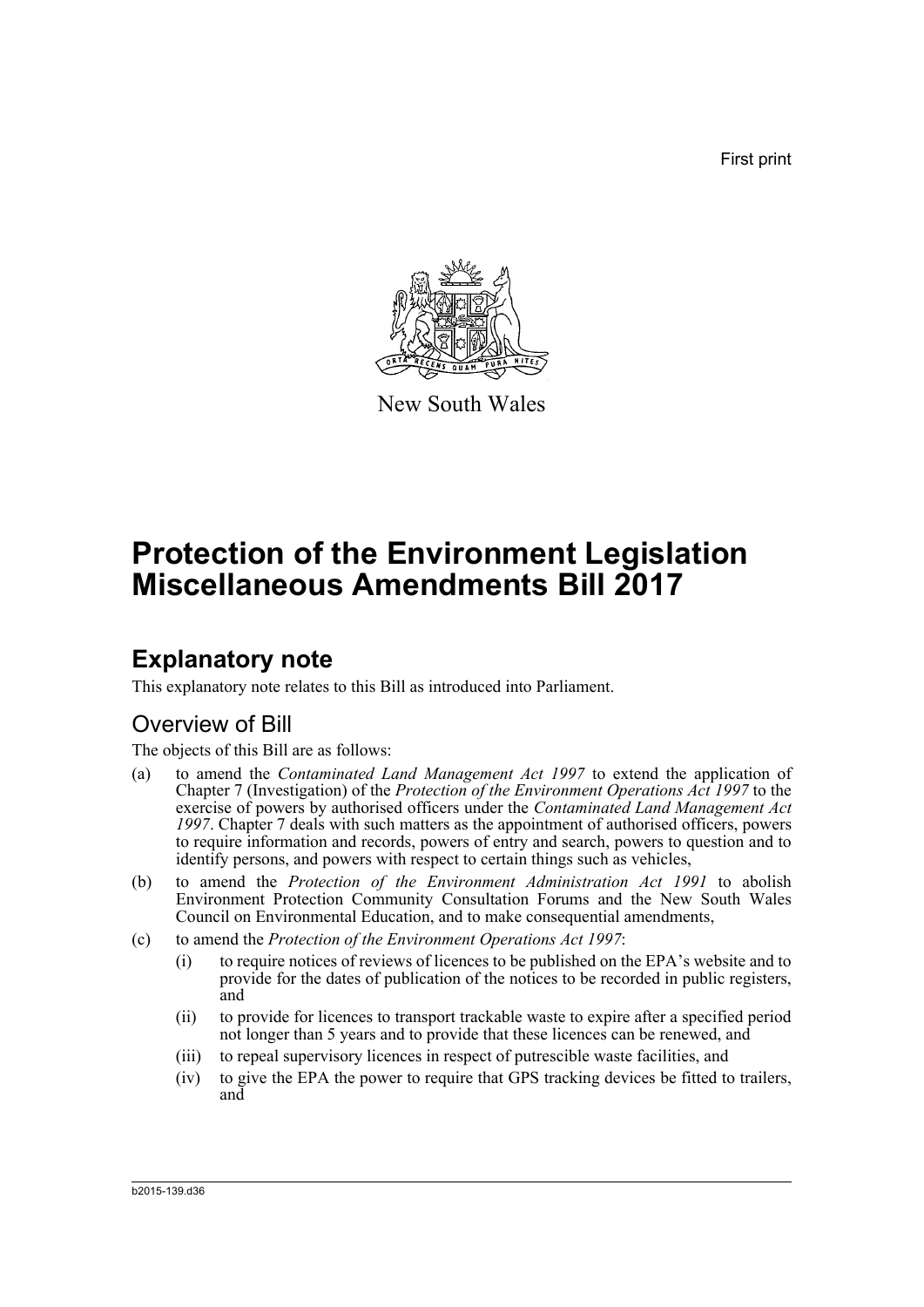First print



New South Wales

# **Protection of the Environment Legislation Miscellaneous Amendments Bill 2017**

# **Explanatory note**

This explanatory note relates to this Bill as introduced into Parliament.

## Overview of Bill

The objects of this Bill are as follows:

- (a) to amend the *Contaminated Land Management Act 1997* to extend the application of Chapter 7 (Investigation) of the *Protection of the Environment Operations Act 1997* to the exercise of powers by authorised officers under the *Contaminated Land Management Act 1997*. Chapter 7 deals with such matters as the appointment of authorised officers, powers to require information and records, powers of entry and search, powers to question and to identify persons, and powers with respect to certain things such as vehicles,
- (b) to amend the *Protection of the Environment Administration Act 1991* to abolish Environment Protection Community Consultation Forums and the New South Wales Council on Environmental Education, and to make consequential amendments,
- (c) to amend the *Protection of the Environment Operations Act 1997*:
	- (i) to require notices of reviews of licences to be published on the EPA's website and to provide for the dates of publication of the notices to be recorded in public registers, and
	- (ii) to provide for licences to transport trackable waste to expire after a specified period not longer than 5 years and to provide that these licences can be renewed, and
	- (iii) to repeal supervisory licences in respect of putrescible waste facilities, and
	- (iv) to give the EPA the power to require that GPS tracking devices be fitted to trailers, and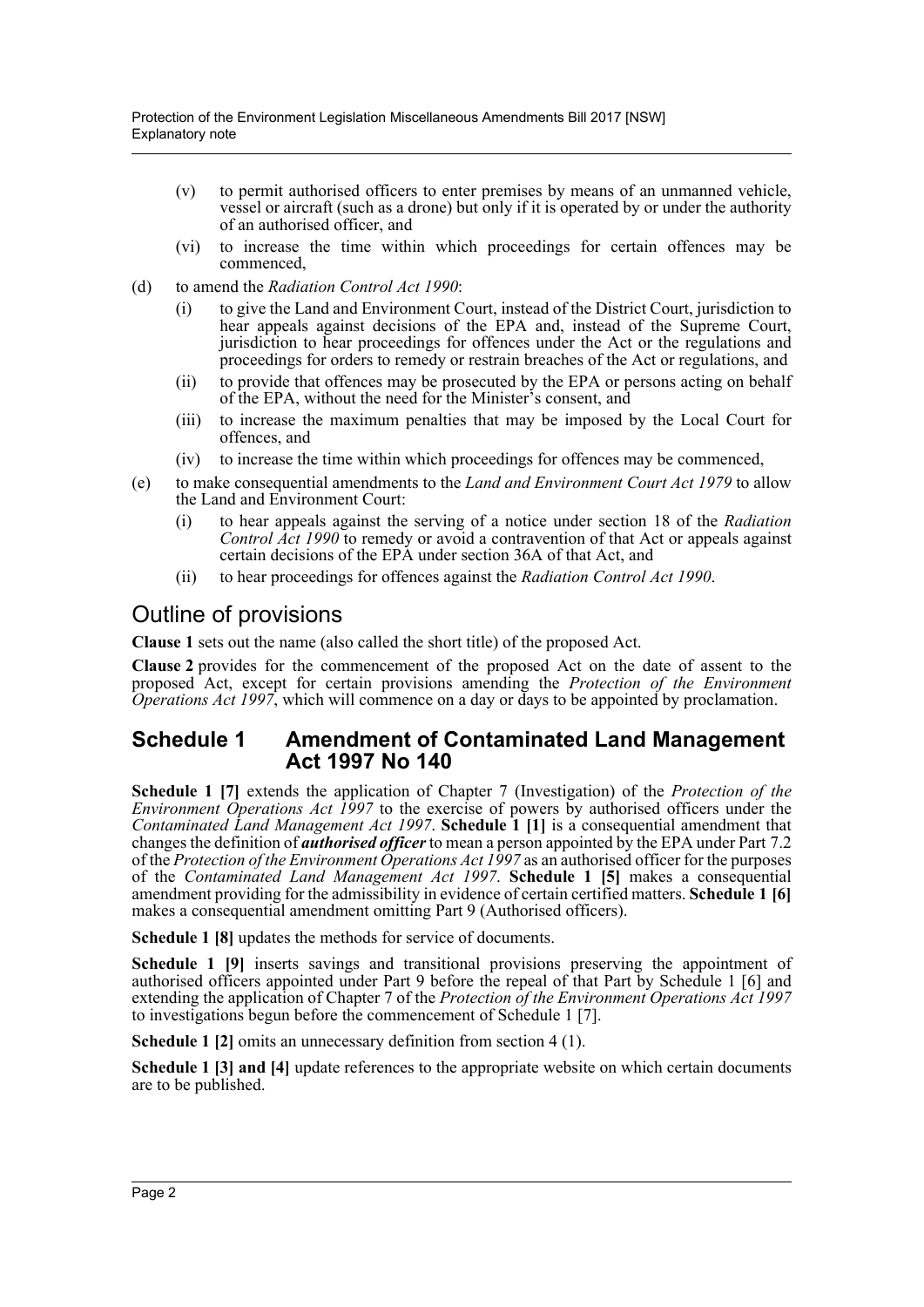- (v) to permit authorised officers to enter premises by means of an unmanned vehicle, vessel or aircraft (such as a drone) but only if it is operated by or under the authority of an authorised officer, and
- (vi) to increase the time within which proceedings for certain offences may be commenced,
- (d) to amend the *Radiation Control Act 1990*:
	- (i) to give the Land and Environment Court, instead of the District Court, jurisdiction to hear appeals against decisions of the EPA and, instead of the Supreme Court, jurisdiction to hear proceedings for offences under the Act or the regulations and proceedings for orders to remedy or restrain breaches of the Act or regulations, and
	- (ii) to provide that offences may be prosecuted by the EPA or persons acting on behalf of the EPA, without the need for the Minister's consent, and
	- (iii) to increase the maximum penalties that may be imposed by the Local Court for offences, and
	- (iv) to increase the time within which proceedings for offences may be commenced,
- (e) to make consequential amendments to the *Land and Environment Court Act 1979* to allow the Land and Environment Court:
	- (i) to hear appeals against the serving of a notice under section 18 of the *Radiation Control Act 1990* to remedy or avoid a contravention of that Act or appeals against certain decisions of the EPA under section 36A of that Act, and
	- (ii) to hear proceedings for offences against the *Radiation Control Act 1990*.

## Outline of provisions

**Clause 1** sets out the name (also called the short title) of the proposed Act.

**Clause 2** provides for the commencement of the proposed Act on the date of assent to the proposed Act, except for certain provisions amending the *Protection of the Environment Operations Act 1997*, which will commence on a day or days to be appointed by proclamation.

### **Schedule 1 Amendment of Contaminated Land Management Act 1997 No 140**

**Schedule 1 [7]** extends the application of Chapter 7 (Investigation) of the *Protection of the Environment Operations Act 1997* to the exercise of powers by authorised officers under the *Contaminated Land Management Act 1997*. **Schedule 1 [1]** is a consequential amendment that changes the definition of *authorised officer* to mean a person appointed by the EPA under Part 7.2 of the *Protection of the Environment Operations Act 1997* as an authorised officer for the purposes of the *Contaminated Land Management Act 1997*. **Schedule 1 [5]** makes a consequential amendment providing for the admissibility in evidence of certain certified matters. **Schedule 1 [6]** makes a consequential amendment omitting Part 9 (Authorised officers).

**Schedule 1 [8]** updates the methods for service of documents.

**Schedule 1 [9]** inserts savings and transitional provisions preserving the appointment of authorised officers appointed under Part 9 before the repeal of that Part by Schedule 1 [6] and extending the application of Chapter 7 of the *Protection of the Environment Operations Act 1997* to investigations begun before the commencement of Schedule 1 [7].

**Schedule 1 [2]** omits an unnecessary definition from section 4 (1).

**Schedule 1 [3] and [4]** update references to the appropriate website on which certain documents are to be published.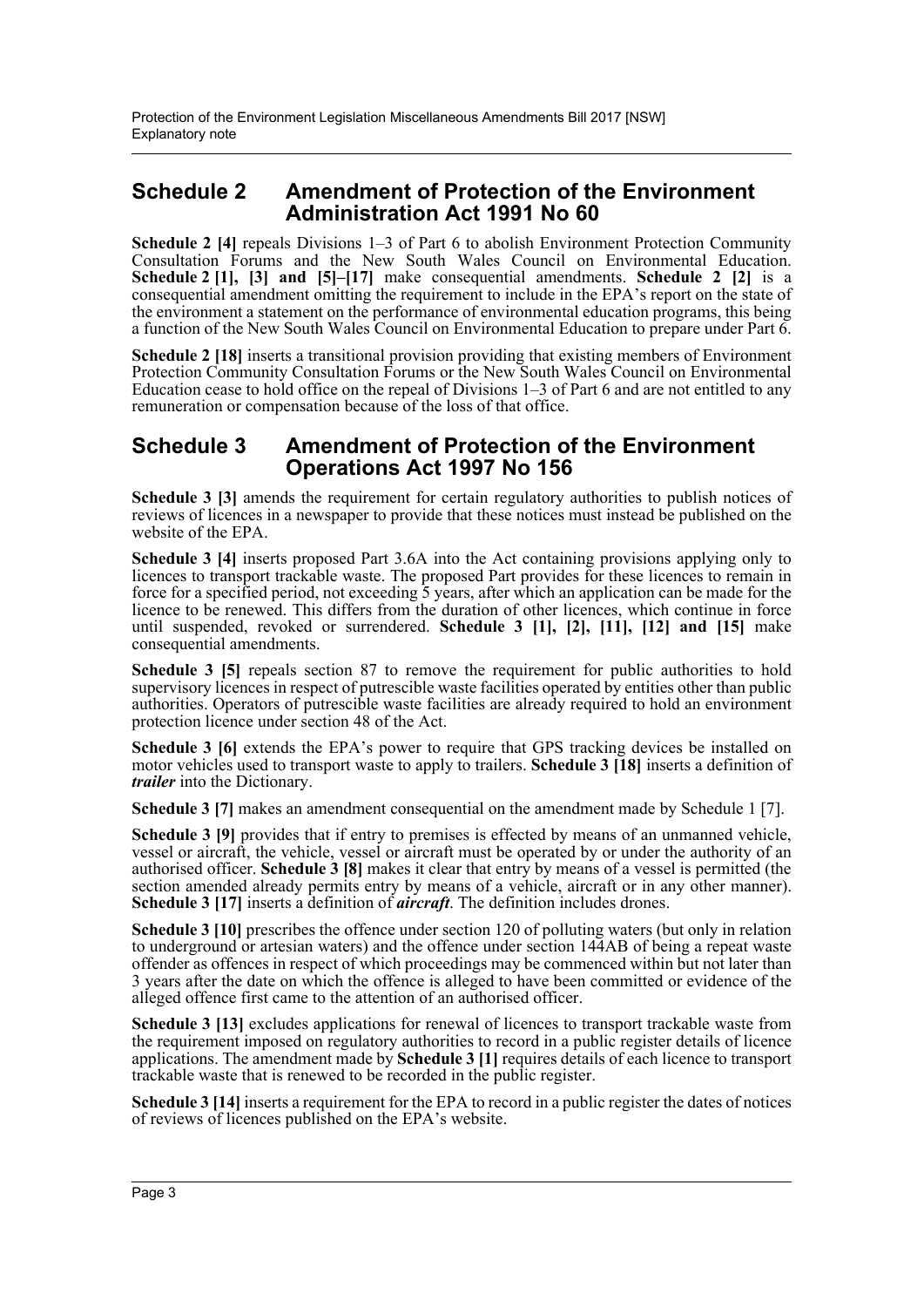### **Schedule 2 Amendment of Protection of the Environment Administration Act 1991 No 60**

**Schedule 2 [4]** repeals Divisions 1–3 of Part 6 to abolish Environment Protection Community Consultation Forums and the New South Wales Council on Environmental Education. **Schedule 2 [1], [3] and [5]–[17]** make consequential amendments. **Schedule 2 [2]** is a consequential amendment omitting the requirement to include in the EPA's report on the state of the environment a statement on the performance of environmental education programs, this being a function of the New South Wales Council on Environmental Education to prepare under Part 6.

**Schedule 2 [18]** inserts a transitional provision providing that existing members of Environment Protection Community Consultation Forums or the New South Wales Council on Environmental Education cease to hold office on the repeal of Divisions 1–3 of Part 6 and are not entitled to any remuneration or compensation because of the loss of that office.

### **Schedule 3 Amendment of Protection of the Environment Operations Act 1997 No 156**

Schedule 3 [3] amends the requirement for certain regulatory authorities to publish notices of reviews of licences in a newspaper to provide that these notices must instead be published on the website of the EPA.

**Schedule 3 [4]** inserts proposed Part 3.6A into the Act containing provisions applying only to licences to transport trackable waste. The proposed Part provides for these licences to remain in force for a specified period, not exceeding 5 years, after which an application can be made for the licence to be renewed. This differs from the duration of other licences, which continue in force until suspended, revoked or surrendered. **Schedule 3 [1], [2], [11], [12] and [15]** make consequential amendments.

**Schedule 3 [5]** repeals section 87 to remove the requirement for public authorities to hold supervisory licences in respect of putrescible waste facilities operated by entities other than public authorities. Operators of putrescible waste facilities are already required to hold an environment protection licence under section 48 of the Act.

**Schedule 3 [6]** extends the EPA's power to require that GPS tracking devices be installed on motor vehicles used to transport waste to apply to trailers. **Schedule 3 [18]** inserts a definition of *trailer* into the Dictionary.

**Schedule 3 [7]** makes an amendment consequential on the amendment made by Schedule 1 [7].

**Schedule 3 [9]** provides that if entry to premises is effected by means of an unmanned vehicle, vessel or aircraft, the vehicle, vessel or aircraft must be operated by or under the authority of an authorised officer. **Schedule 3 [8]** makes it clear that entry by means of a vessel is permitted (the section amended already permits entry by means of a vehicle, aircraft or in any other manner). **Schedule 3 [17]** inserts a definition of *aircraft*. The definition includes drones.

**Schedule 3 [10]** prescribes the offence under section 120 of polluting waters (but only in relation to underground or artesian waters) and the offence under section 144AB of being a repeat waste offender as offences in respect of which proceedings may be commenced within but not later than 3 years after the date on which the offence is alleged to have been committed or evidence of the alleged offence first came to the attention of an authorised officer.

**Schedule 3 [13]** excludes applications for renewal of licences to transport trackable waste from the requirement imposed on regulatory authorities to record in a public register details of licence applications. The amendment made by **Schedule 3 [1]** requires details of each licence to transport trackable waste that is renewed to be recorded in the public register.

**Schedule 3 [14]** inserts a requirement for the EPA to record in a public register the dates of notices of reviews of licences published on the EPA's website.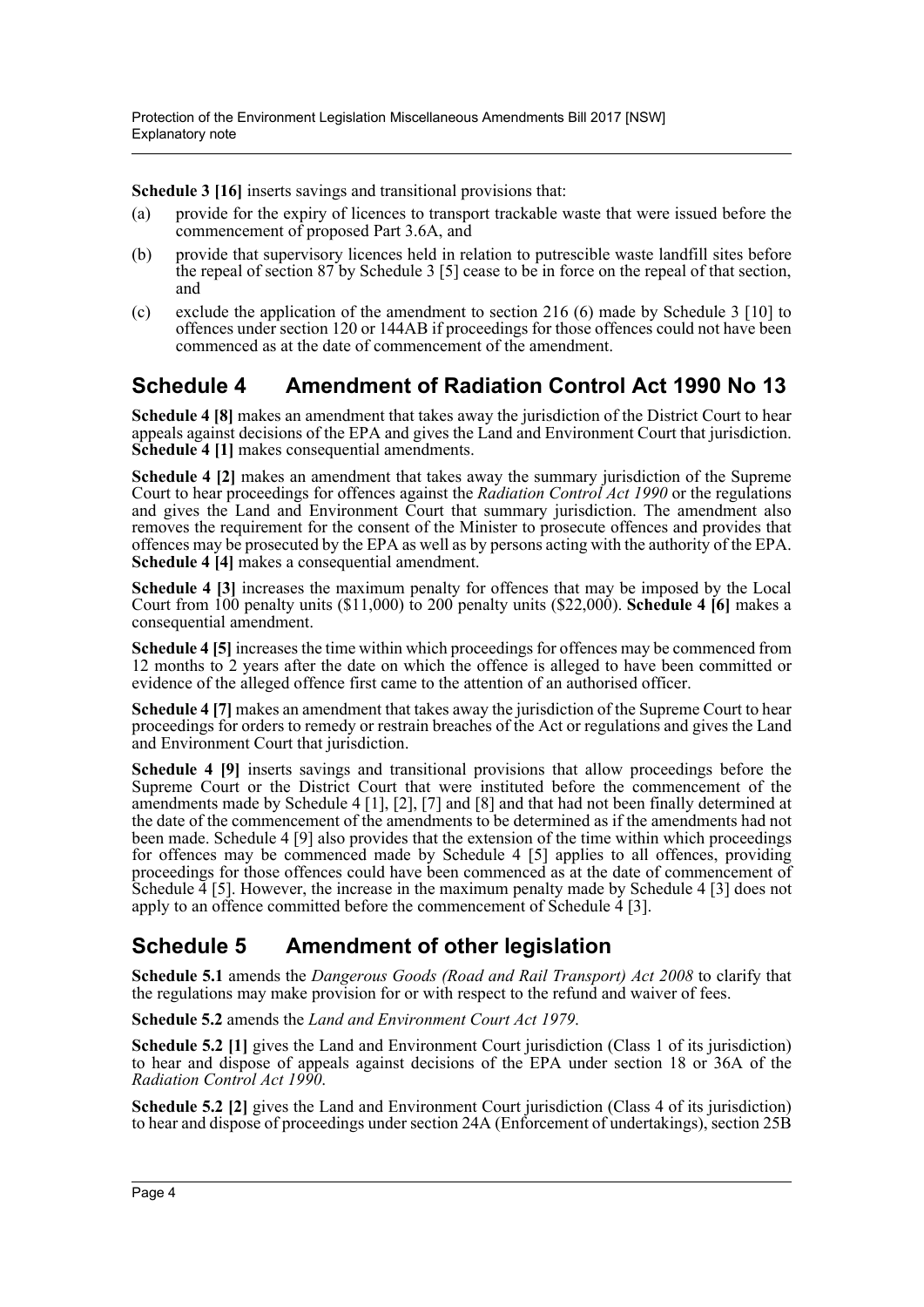**Schedule 3 [16]** inserts savings and transitional provisions that:

- (a) provide for the expiry of licences to transport trackable waste that were issued before the commencement of proposed Part 3.6A, and
- (b) provide that supervisory licences held in relation to putrescible waste landfill sites before the repeal of section 87 by Schedule 3 [5] cease to be in force on the repeal of that section, and
- (c) exclude the application of the amendment to section 216 (6) made by Schedule 3 [10] to offences under section 120 or 144AB if proceedings for those offences could not have been commenced as at the date of commencement of the amendment.

## **Schedule 4 Amendment of Radiation Control Act 1990 No 13**

**Schedule 4 [8]** makes an amendment that takes away the jurisdiction of the District Court to hear appeals against decisions of the EPA and gives the Land and Environment Court that jurisdiction. **Schedule 4 [1]** makes consequential amendments.

**Schedule 4 [2]** makes an amendment that takes away the summary jurisdiction of the Supreme Court to hear proceedings for offences against the *Radiation Control Act 1990* or the regulations and gives the Land and Environment Court that summary jurisdiction. The amendment also removes the requirement for the consent of the Minister to prosecute offences and provides that offences may be prosecuted by the EPA as well as by persons acting with the authority of the EPA. **Schedule 4 [4]** makes a consequential amendment.

**Schedule 4 [3]** increases the maximum penalty for offences that may be imposed by the Local Court from 100 penalty units (\$11,000) to 200 penalty units (\$22,000). **Schedule 4 [6]** makes a consequential amendment.

**Schedule 4 [5]** increases the time within which proceedings for offences may be commenced from 12 months to 2 years after the date on which the offence is alleged to have been committed or evidence of the alleged offence first came to the attention of an authorised officer.

**Schedule 4 [7]** makes an amendment that takes away the jurisdiction of the Supreme Court to hear proceedings for orders to remedy or restrain breaches of the Act or regulations and gives the Land and Environment Court that jurisdiction.

**Schedule 4 [9]** inserts savings and transitional provisions that allow proceedings before the Supreme Court or the District Court that were instituted before the commencement of the amendments made by Schedule 4 [1], [2], [7] and [8] and that had not been finally determined at the date of the commencement of the amendments to be determined as if the amendments had not been made. Schedule 4 [9] also provides that the extension of the time within which proceedings for offences may be commenced made by Schedule 4 [5] applies to all offences, providing proceedings for those offences could have been commenced as at the date of commencement of Schedule  $\frac{3}{4}$  [5]. However, the increase in the maximum penalty made by Schedule 4 [3] does not apply to an offence committed before the commencement of Schedule  $\frac{4}{3}$  [3].

## **Schedule 5 Amendment of other legislation**

**Schedule 5.1** amends the *Dangerous Goods (Road and Rail Transport) Act 2008* to clarify that the regulations may make provision for or with respect to the refund and waiver of fees.

**Schedule 5.2** amends the *Land and Environment Court Act 1979*.

**Schedule 5.2 [1]** gives the Land and Environment Court jurisdiction (Class 1 of its jurisdiction) to hear and dispose of appeals against decisions of the EPA under section 18 or 36A of the *Radiation Control Act 1990*.

**Schedule 5.2 [2]** gives the Land and Environment Court jurisdiction (Class 4 of its jurisdiction) to hear and dispose of proceedings under section 24A (Enforcement of undertakings), section 25B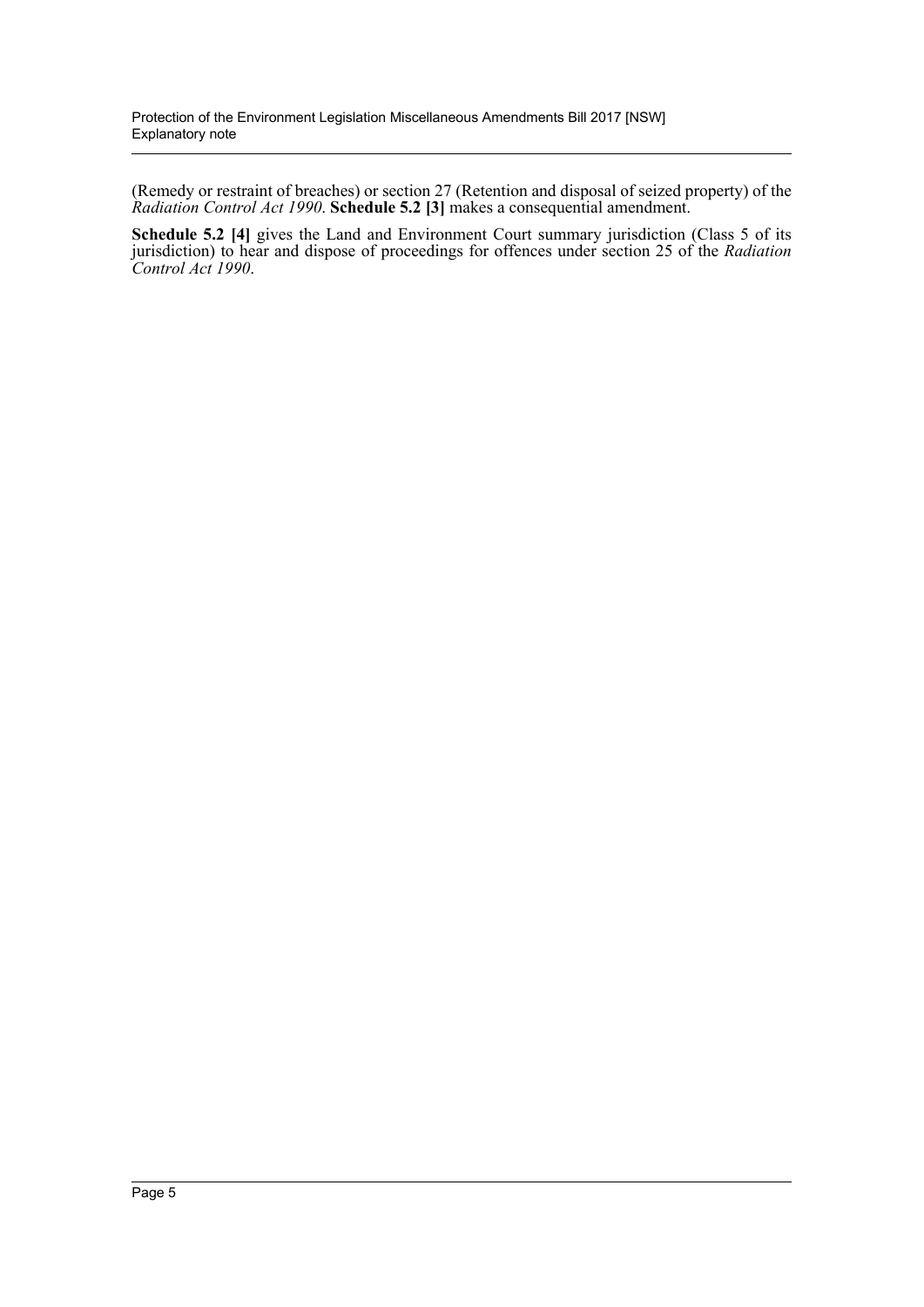(Remedy or restraint of breaches) or section 27 (Retention and disposal of seized property) of the *Radiation Control Act 1990*. **Schedule 5.2 [3]** makes a consequential amendment.

**Schedule 5.2 [4]** gives the Land and Environment Court summary jurisdiction (Class 5 of its jurisdiction) to hear and dispose of proceedings for offences under section 25 of the *Radiation Control Act 1990*.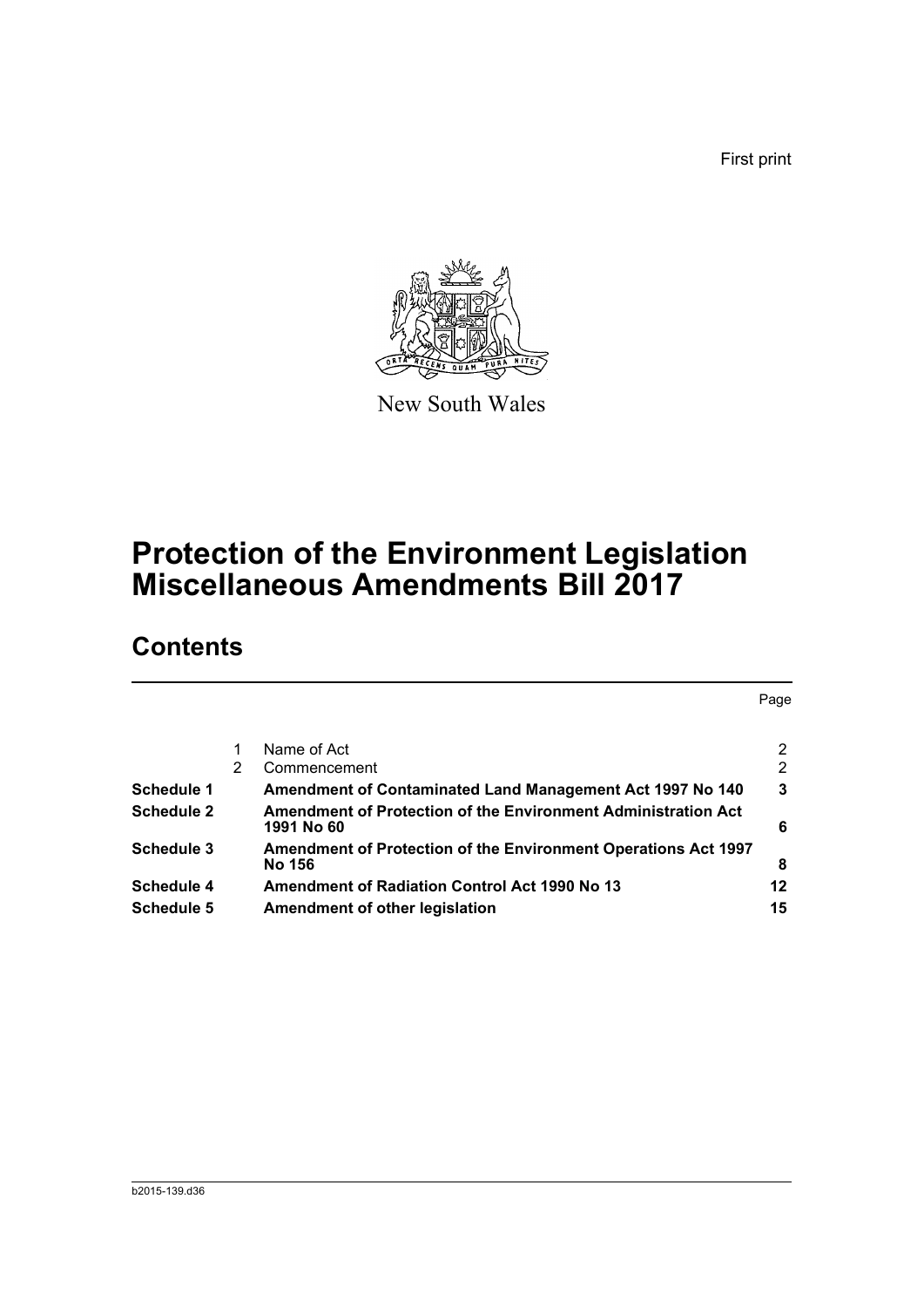First print



New South Wales

# **Protection of the Environment Legislation Miscellaneous Amendments Bill 2017**

# **Contents**

|                   |   |                                                                                 | Page |
|-------------------|---|---------------------------------------------------------------------------------|------|
|                   |   | Name of Act                                                                     | 2    |
|                   | 2 | Commencement                                                                    | 2    |
| Schedule 1        |   | Amendment of Contaminated Land Management Act 1997 No 140                       | 3    |
| Schedule 2        |   | Amendment of Protection of the Environment Administration Act<br>1991 No 60     | 6    |
| Schedule 3        |   | <b>Amendment of Protection of the Environment Operations Act 1997</b><br>No 156 | 8    |
| <b>Schedule 4</b> |   | <b>Amendment of Radiation Control Act 1990 No 13</b>                            | 12   |
| <b>Schedule 5</b> |   | Amendment of other legislation                                                  | 15   |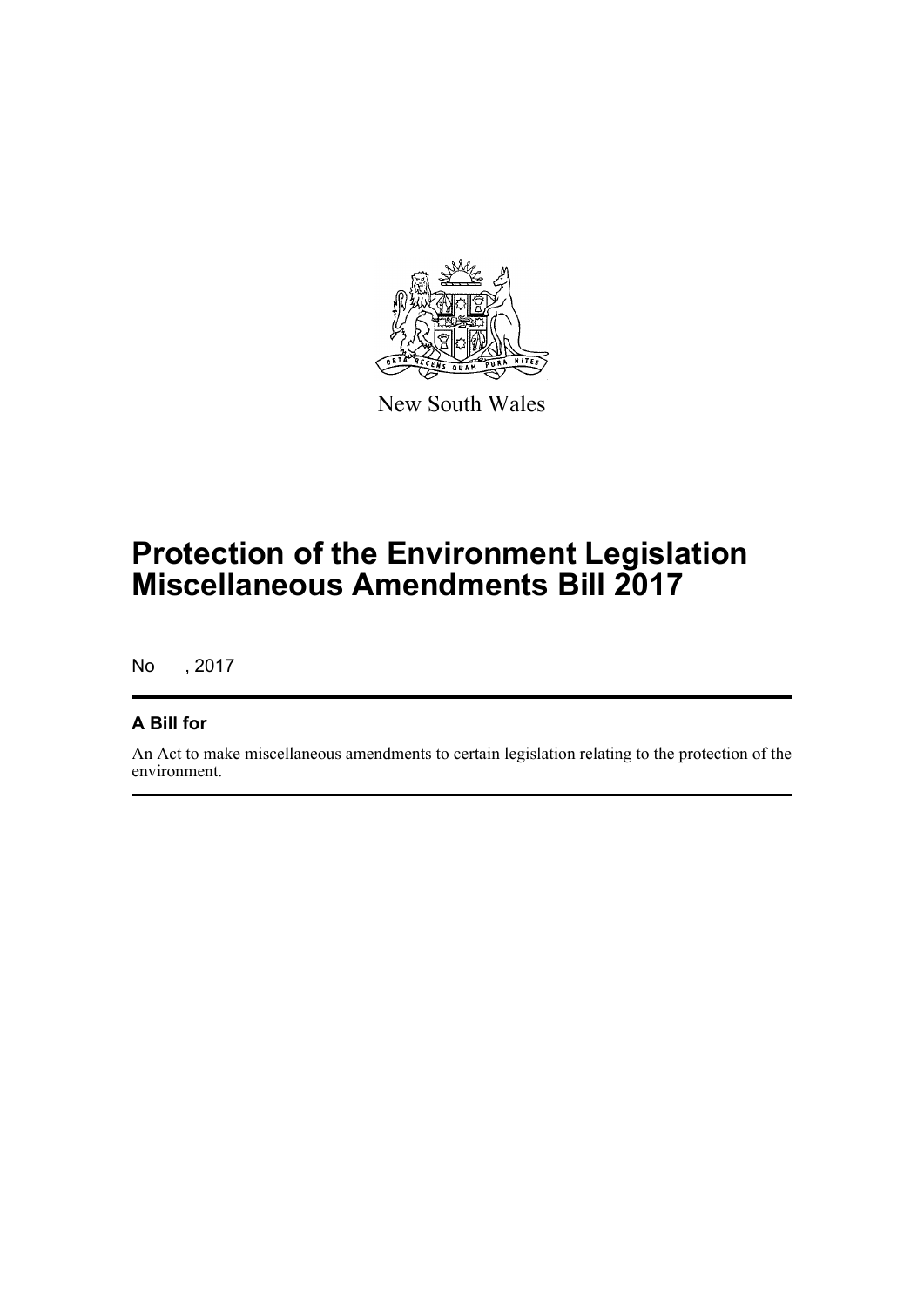

New South Wales

# **Protection of the Environment Legislation Miscellaneous Amendments Bill 2017**

No , 2017

### **A Bill for**

An Act to make miscellaneous amendments to certain legislation relating to the protection of the environment.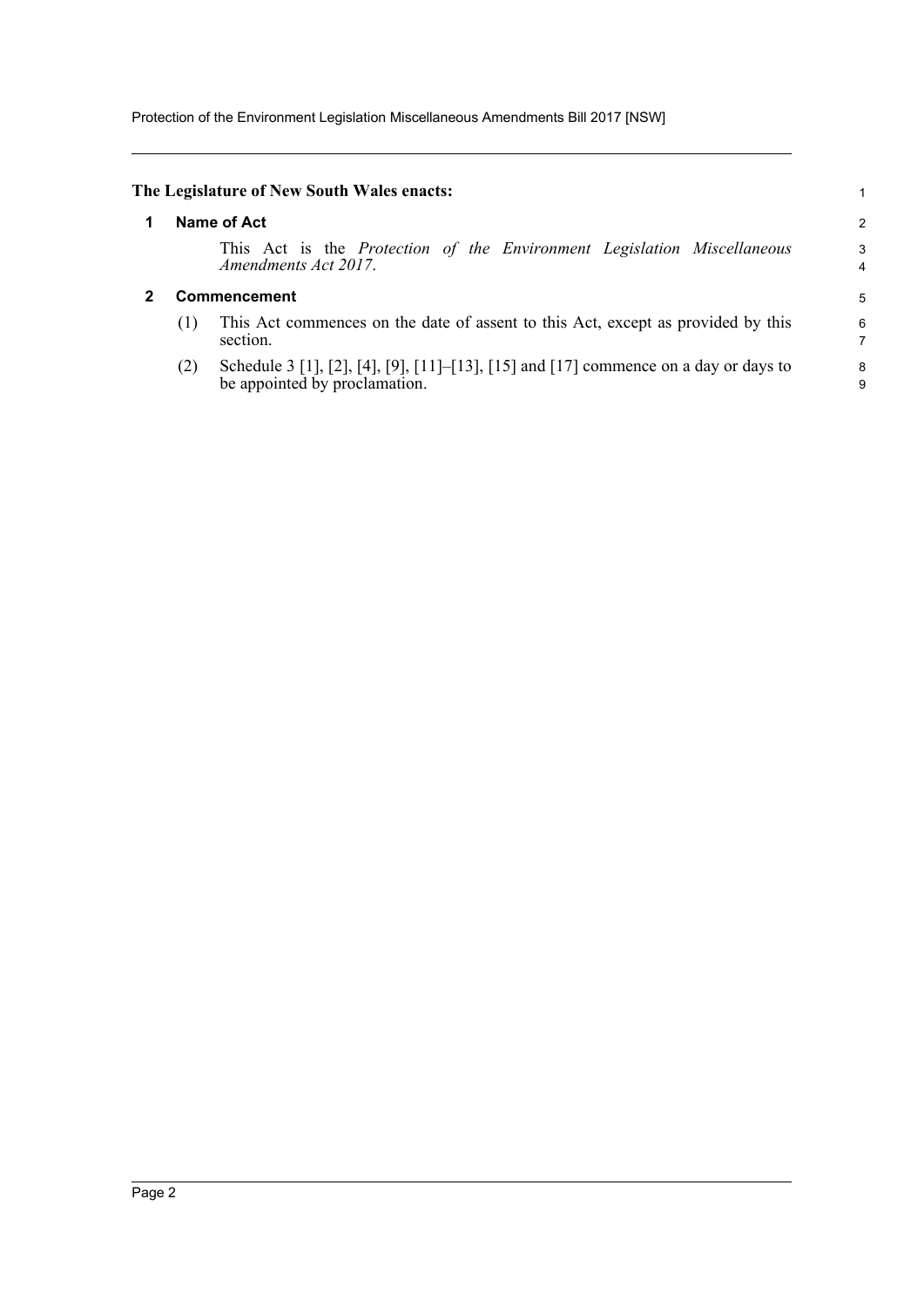Protection of the Environment Legislation Miscellaneous Amendments Bill 2017 [NSW]

<span id="page-7-1"></span><span id="page-7-0"></span>

|     | The Legislature of New South Wales enacts:                                                                            |        |
|-----|-----------------------------------------------------------------------------------------------------------------------|--------|
|     | <b>Name of Act</b>                                                                                                    | 2      |
|     | This Act is the Protection of the Environment Legislation Miscellaneous<br>Amendments Act 2017.                       | 3<br>4 |
|     | <b>Commencement</b>                                                                                                   | 5      |
| (1) | This Act commences on the date of assent to this Act, except as provided by this<br>section.                          | 6<br>7 |
| (2) | Schedule 3 [1], [2], [4], [9], [11]–[13], [15] and [17] commence on a day or days to<br>be appointed by proclamation. | 8<br>9 |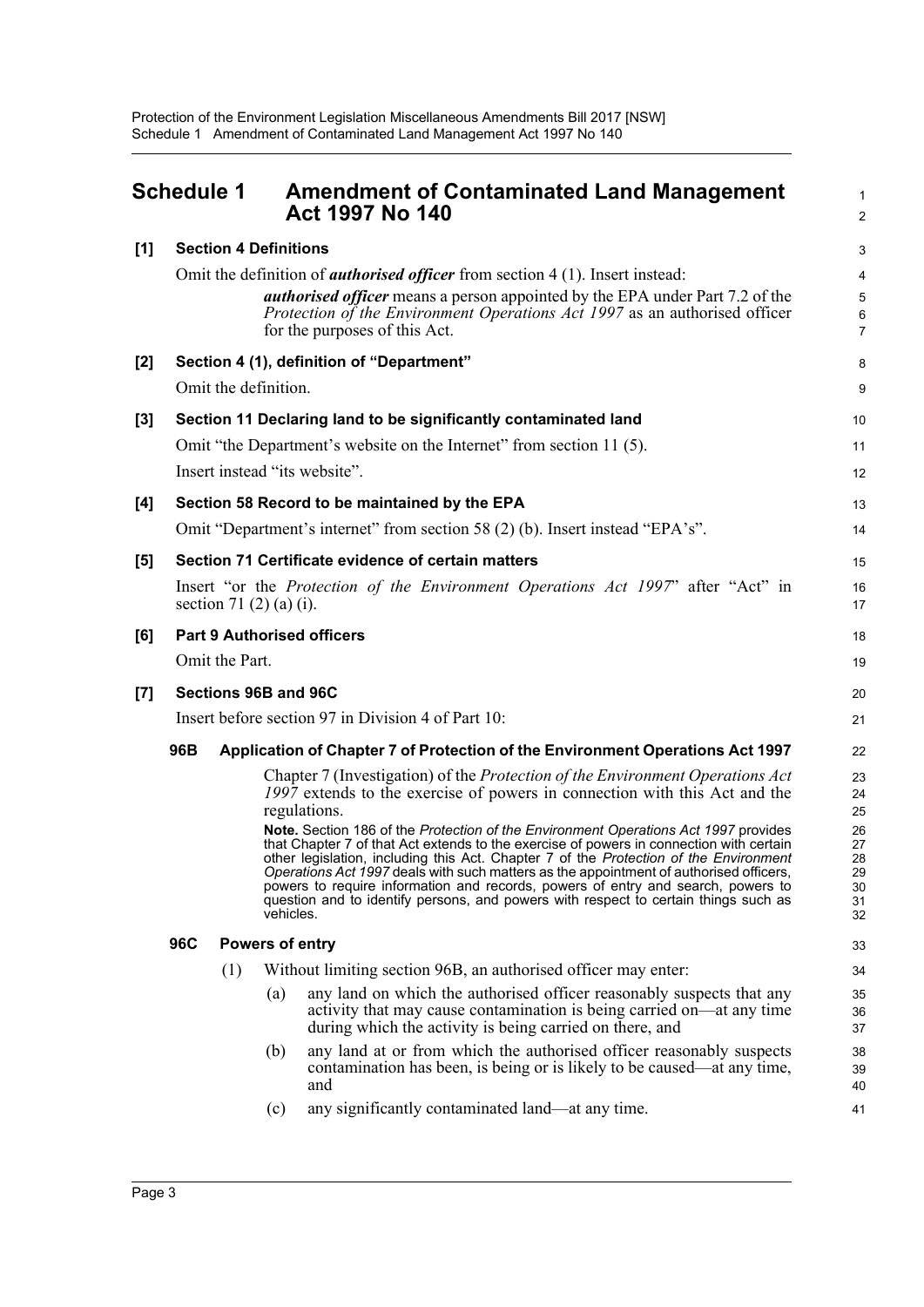<span id="page-8-0"></span>

|       | <b>Schedule 1</b>                                  |                                                                               |           | <b>Amendment of Contaminated Land Management</b><br><b>Act 1997 No 140</b>                                                                                                                                                                                                                                                                                                                                                                                                                                                                   | 1<br>2                                 |  |  |
|-------|----------------------------------------------------|-------------------------------------------------------------------------------|-----------|----------------------------------------------------------------------------------------------------------------------------------------------------------------------------------------------------------------------------------------------------------------------------------------------------------------------------------------------------------------------------------------------------------------------------------------------------------------------------------------------------------------------------------------------|----------------------------------------|--|--|
| [1]   |                                                    | <b>Section 4 Definitions</b>                                                  |           |                                                                                                                                                                                                                                                                                                                                                                                                                                                                                                                                              | 3                                      |  |  |
|       |                                                    |                                                                               |           | Omit the definition of <i>authorised officer</i> from section 4 (1). Insert instead:                                                                                                                                                                                                                                                                                                                                                                                                                                                         | 4                                      |  |  |
|       |                                                    |                                                                               |           | authorised officer means a person appointed by the EPA under Part 7.2 of the<br>Protection of the Environment Operations Act 1997 as an authorised officer<br>for the purposes of this Act.                                                                                                                                                                                                                                                                                                                                                  | $\mathbf 5$<br>6<br>$\overline{7}$     |  |  |
| [2]   |                                                    |                                                                               |           | Section 4 (1), definition of "Department"                                                                                                                                                                                                                                                                                                                                                                                                                                                                                                    | 8                                      |  |  |
|       |                                                    | Omit the definition.                                                          |           |                                                                                                                                                                                                                                                                                                                                                                                                                                                                                                                                              | 9                                      |  |  |
| [3]   |                                                    |                                                                               |           | Section 11 Declaring land to be significantly contaminated land                                                                                                                                                                                                                                                                                                                                                                                                                                                                              | 10                                     |  |  |
|       |                                                    |                                                                               |           | Omit "the Department's website on the Internet" from section 11 (5).                                                                                                                                                                                                                                                                                                                                                                                                                                                                         | 11                                     |  |  |
|       |                                                    |                                                                               |           | Insert instead "its website".                                                                                                                                                                                                                                                                                                                                                                                                                                                                                                                | 12                                     |  |  |
| [4]   |                                                    |                                                                               |           | Section 58 Record to be maintained by the EPA                                                                                                                                                                                                                                                                                                                                                                                                                                                                                                | 13                                     |  |  |
|       |                                                    |                                                                               |           | Omit "Department's internet" from section 58 (2) (b). Insert instead "EPA's".                                                                                                                                                                                                                                                                                                                                                                                                                                                                | 14                                     |  |  |
| [5]   |                                                    |                                                                               |           | Section 71 Certificate evidence of certain matters                                                                                                                                                                                                                                                                                                                                                                                                                                                                                           | 15                                     |  |  |
|       |                                                    | section 71 $(2)$ $(a)$ $(i)$ .                                                |           | Insert "or the Protection of the Environment Operations Act 1997" after "Act" in                                                                                                                                                                                                                                                                                                                                                                                                                                                             | 16<br>17                               |  |  |
| [6]   |                                                    |                                                                               |           | <b>Part 9 Authorised officers</b>                                                                                                                                                                                                                                                                                                                                                                                                                                                                                                            | 18                                     |  |  |
|       |                                                    | Omit the Part.                                                                |           |                                                                                                                                                                                                                                                                                                                                                                                                                                                                                                                                              | 19                                     |  |  |
| $[7]$ |                                                    | Sections 96B and 96C                                                          |           |                                                                                                                                                                                                                                                                                                                                                                                                                                                                                                                                              | 20                                     |  |  |
|       | Insert before section 97 in Division 4 of Part 10: |                                                                               |           |                                                                                                                                                                                                                                                                                                                                                                                                                                                                                                                                              |                                        |  |  |
|       | 96B                                                | Application of Chapter 7 of Protection of the Environment Operations Act 1997 |           |                                                                                                                                                                                                                                                                                                                                                                                                                                                                                                                                              |                                        |  |  |
|       |                                                    |                                                                               |           | Chapter 7 (Investigation) of the <i>Protection of the Environment Operations Act</i><br>1997 extends to the exercise of powers in connection with this Act and the<br>regulations.                                                                                                                                                                                                                                                                                                                                                           | 23<br>24<br>25                         |  |  |
|       |                                                    |                                                                               | vehicles. | Note. Section 186 of the Protection of the Environment Operations Act 1997 provides<br>that Chapter 7 of that Act extends to the exercise of powers in connection with certain<br>other legislation, including this Act. Chapter 7 of the Protection of the Environment<br>Operations Act 1997 deals with such matters as the appointment of authorised officers,<br>powers to require information and records, powers of entry and search, powers to<br>question and to identify persons, and powers with respect to certain things such as | 26<br>27<br>28<br>29<br>30<br>31<br>32 |  |  |
|       | 96C                                                | Powers of entry                                                               |           |                                                                                                                                                                                                                                                                                                                                                                                                                                                                                                                                              | 33                                     |  |  |
|       |                                                    | (1)                                                                           |           | Without limiting section 96B, an authorised officer may enter:                                                                                                                                                                                                                                                                                                                                                                                                                                                                               | 34                                     |  |  |
|       |                                                    |                                                                               | (a)       | any land on which the authorised officer reasonably suspects that any<br>activity that may cause contamination is being carried on—at any time<br>during which the activity is being carried on there, and                                                                                                                                                                                                                                                                                                                                   | 35<br>36<br>37                         |  |  |
|       |                                                    |                                                                               | (b)       | any land at or from which the authorised officer reasonably suspects<br>contamination has been, is being or is likely to be caused—at any time,<br>and                                                                                                                                                                                                                                                                                                                                                                                       | 38<br>39<br>40                         |  |  |
|       |                                                    |                                                                               | (c)       | any significantly contaminated land—at any time.                                                                                                                                                                                                                                                                                                                                                                                                                                                                                             | 41                                     |  |  |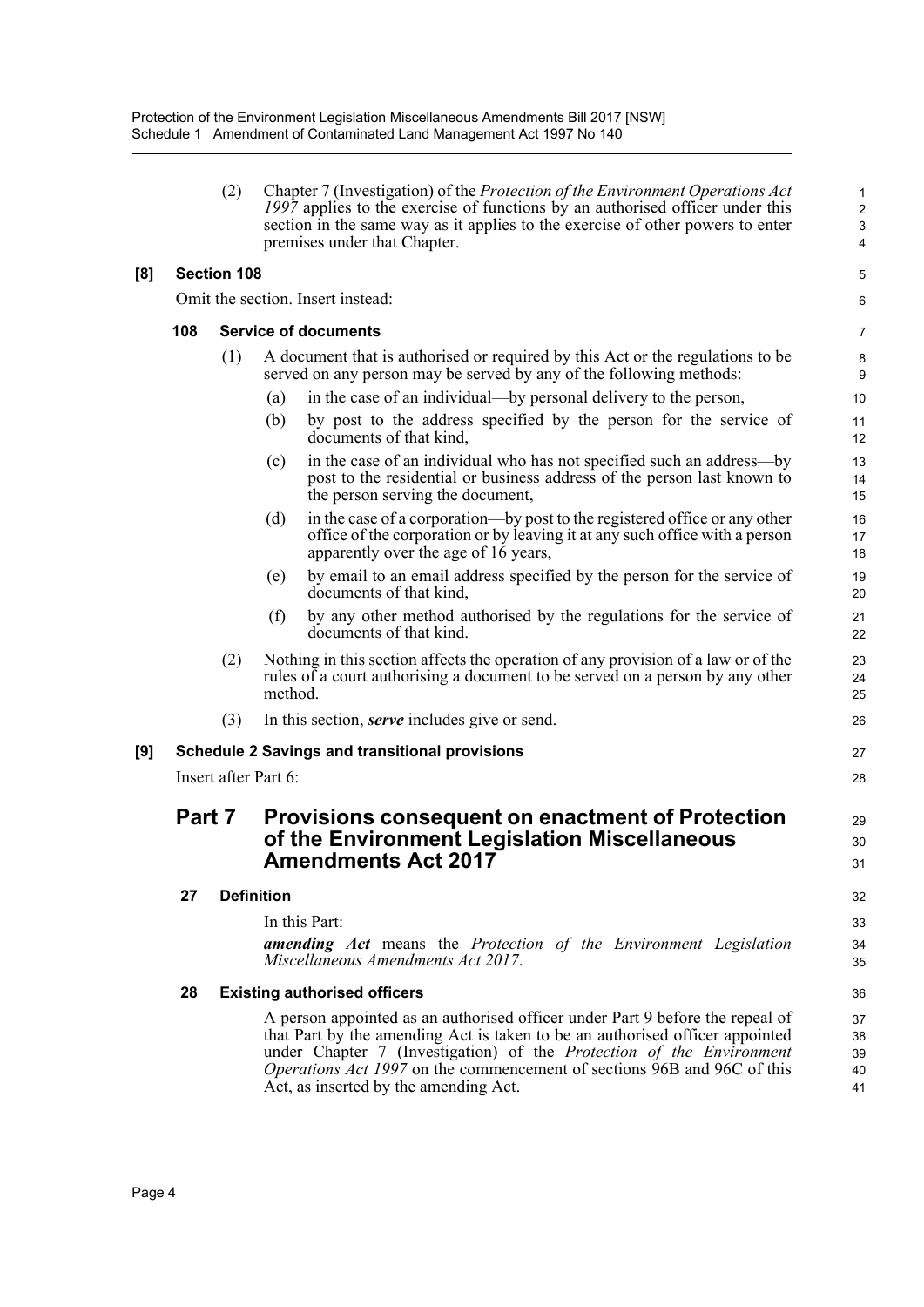|     |        | (2)                  | Chapter 7 (Investigation) of the Protection of the Environment Operations Act<br>1997 applies to the exercise of functions by an authorised officer under this<br>section in the same way as it applies to the exercise of other powers to enter<br>premises under that Chapter.                                                                                 | 1<br>$\overline{c}$<br>$\mathsf 3$<br>4 |
|-----|--------|----------------------|------------------------------------------------------------------------------------------------------------------------------------------------------------------------------------------------------------------------------------------------------------------------------------------------------------------------------------------------------------------|-----------------------------------------|
| [8] |        | <b>Section 108</b>   |                                                                                                                                                                                                                                                                                                                                                                  | 5                                       |
|     |        |                      | Omit the section. Insert instead:                                                                                                                                                                                                                                                                                                                                | 6                                       |
|     | 108    |                      | <b>Service of documents</b>                                                                                                                                                                                                                                                                                                                                      | 7                                       |
|     |        | (1)                  | A document that is authorised or required by this Act or the regulations to be<br>served on any person may be served by any of the following methods:                                                                                                                                                                                                            | 8<br>9                                  |
|     |        |                      | in the case of an individual—by personal delivery to the person,<br>(a)                                                                                                                                                                                                                                                                                          | 10                                      |
|     |        |                      | by post to the address specified by the person for the service of<br>(b)<br>documents of that kind,                                                                                                                                                                                                                                                              | 11<br>12                                |
|     |        |                      | in the case of an individual who has not specified such an address—by<br>(c)<br>post to the residential or business address of the person last known to<br>the person serving the document,                                                                                                                                                                      | 13<br>14<br>15                          |
|     |        |                      | in the case of a corporation—by post to the registered office or any other<br>(d)<br>office of the corporation or by leaving it at any such office with a person<br>apparently over the age of 16 years,                                                                                                                                                         | 16<br>17<br>18                          |
|     |        |                      | by email to an email address specified by the person for the service of<br>(e)<br>documents of that kind.                                                                                                                                                                                                                                                        | 19<br>20                                |
|     |        |                      | (f)<br>by any other method authorised by the regulations for the service of<br>documents of that kind.                                                                                                                                                                                                                                                           | 21<br>22                                |
|     |        | (2)                  | Nothing in this section affects the operation of any provision of a law or of the<br>rules of a court authorising a document to be served on a person by any other<br>method.                                                                                                                                                                                    | 23<br>24<br>25                          |
|     |        | (3)                  | In this section, <i>serve</i> includes give or send.                                                                                                                                                                                                                                                                                                             | 26                                      |
| [9] |        |                      | <b>Schedule 2 Savings and transitional provisions</b>                                                                                                                                                                                                                                                                                                            | 27                                      |
|     |        | Insert after Part 6: |                                                                                                                                                                                                                                                                                                                                                                  | 28                                      |
|     | Part 7 |                      | <b>Provisions consequent on enactment of Protection</b><br>of the Environment Legislation Miscellaneous<br><b>Amendments Act 2017</b>                                                                                                                                                                                                                            | 29<br>30<br>31                          |
|     | 27     | <b>Definition</b>    |                                                                                                                                                                                                                                                                                                                                                                  | 32                                      |
|     |        |                      | In this Part:<br><b>amending</b> Act means the Protection of the Environment Legislation<br>Miscellaneous Amendments Act 2017.                                                                                                                                                                                                                                   | 33<br>34<br>35                          |
|     | 28     |                      | <b>Existing authorised officers</b>                                                                                                                                                                                                                                                                                                                              | 36                                      |
|     |        |                      | A person appointed as an authorised officer under Part 9 before the repeal of<br>that Part by the amending Act is taken to be an authorised officer appointed<br>under Chapter 7 (Investigation) of the Protection of the Environment<br><i>Operations Act 1997</i> on the commencement of sections 96B and 96C of this<br>Act, as inserted by the amending Act. | 37<br>38<br>39<br>40<br>41              |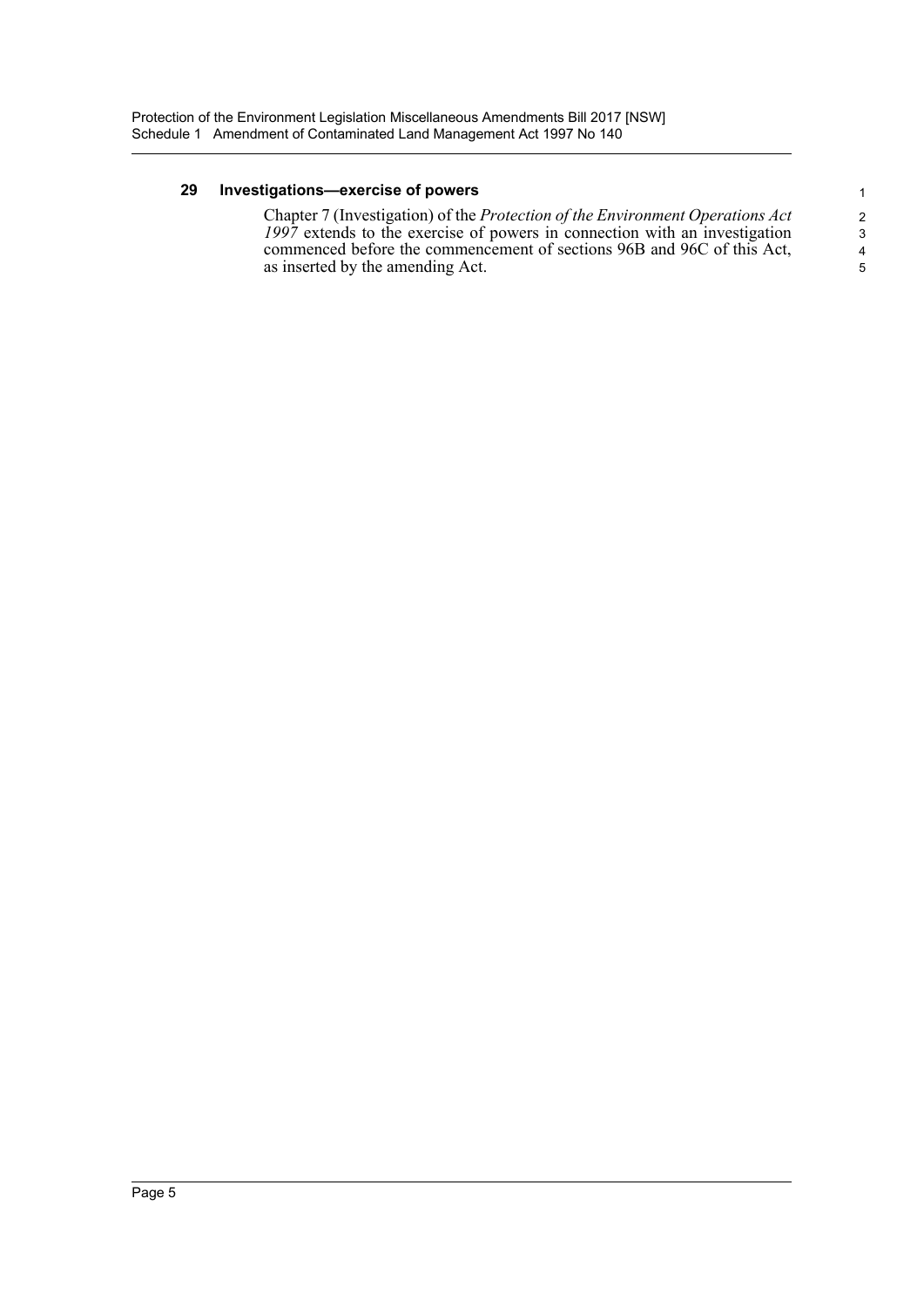#### **29 Investigations—exercise of powers**

Chapter 7 (Investigation) of the *Protection of the Environment Operations Act 1997* extends to the exercise of powers in connection with an investigation commenced before the commencement of sections 96B and 96C of this Act, as inserted by the amending Act.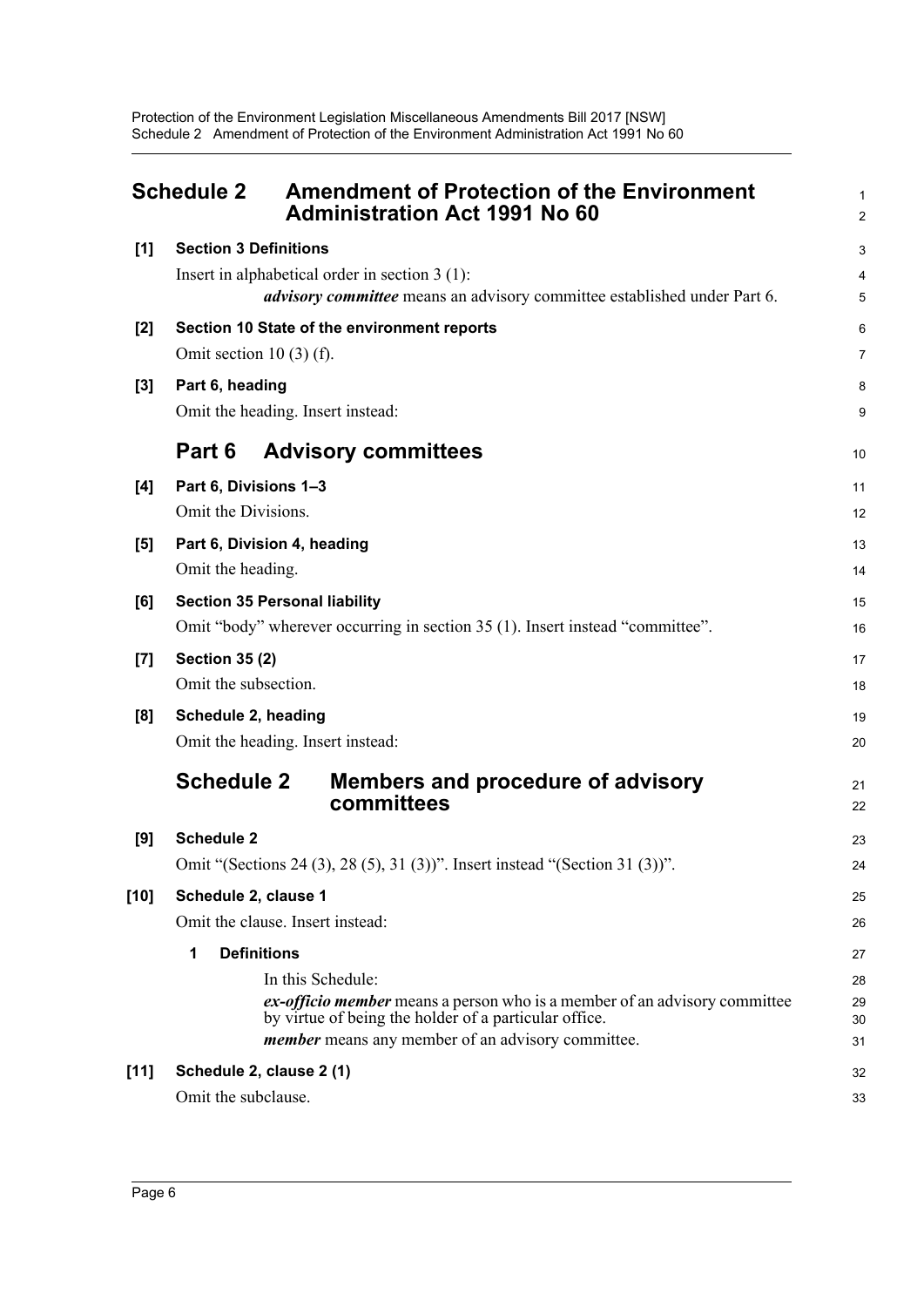<span id="page-11-0"></span>

|        | <b>Schedule 2</b><br><b>Amendment of Protection of the Environment</b><br><b>Administration Act 1991 No 60</b>                                                                                                      | $\mathbf{1}$<br>$\overline{2}$ |
|--------|---------------------------------------------------------------------------------------------------------------------------------------------------------------------------------------------------------------------|--------------------------------|
| [1]    | <b>Section 3 Definitions</b>                                                                                                                                                                                        | 3                              |
|        | Insert in alphabetical order in section $3(1)$ :<br><i>advisory committee</i> means an advisory committee established under Part 6.                                                                                 | 4<br>5                         |
| $[2]$  | Section 10 State of the environment reports<br>Omit section 10 $(3)$ $(f)$ .                                                                                                                                        | 6<br>$\overline{7}$            |
| $[3]$  | Part 6, heading<br>Omit the heading. Insert instead:                                                                                                                                                                | 8<br>9                         |
|        | Part 6<br><b>Advisory committees</b>                                                                                                                                                                                | 10                             |
| [4]    | Part 6, Divisions 1-3<br>Omit the Divisions.                                                                                                                                                                        | 11<br>12                       |
| [5]    | Part 6, Division 4, heading<br>Omit the heading.                                                                                                                                                                    | 13<br>14                       |
| [6]    | <b>Section 35 Personal liability</b><br>Omit "body" wherever occurring in section 35 (1). Insert instead "committee".                                                                                               | 15<br>16                       |
| $[7]$  | <b>Section 35 (2)</b><br>Omit the subsection.                                                                                                                                                                       | 17<br>18                       |
| [8]    | Schedule 2, heading<br>Omit the heading. Insert instead:                                                                                                                                                            | 19<br>20                       |
|        | <b>Schedule 2</b><br>Members and procedure of advisory<br>committees                                                                                                                                                | 21<br>22                       |
| [9]    | <b>Schedule 2</b>                                                                                                                                                                                                   | 23                             |
|        | Omit "(Sections 24 (3), 28 (5), 31 (3))". Insert instead "(Section 31 (3))".                                                                                                                                        | 24                             |
| $[10]$ | Schedule 2, clause 1<br>Omit the clause. Insert instead:                                                                                                                                                            | 25<br>26                       |
|        | <b>Definitions</b><br>1                                                                                                                                                                                             | 27                             |
|        | In this Schedule:<br>ex-officio member means a person who is a member of an advisory committee<br>by virtue of being the holder of a particular office.<br><i>member</i> means any member of an advisory committee. | 28<br>29<br>30<br>31           |
| $[11]$ | Schedule 2, clause 2 (1)                                                                                                                                                                                            | 32                             |
|        | Omit the subclause.                                                                                                                                                                                                 | 33                             |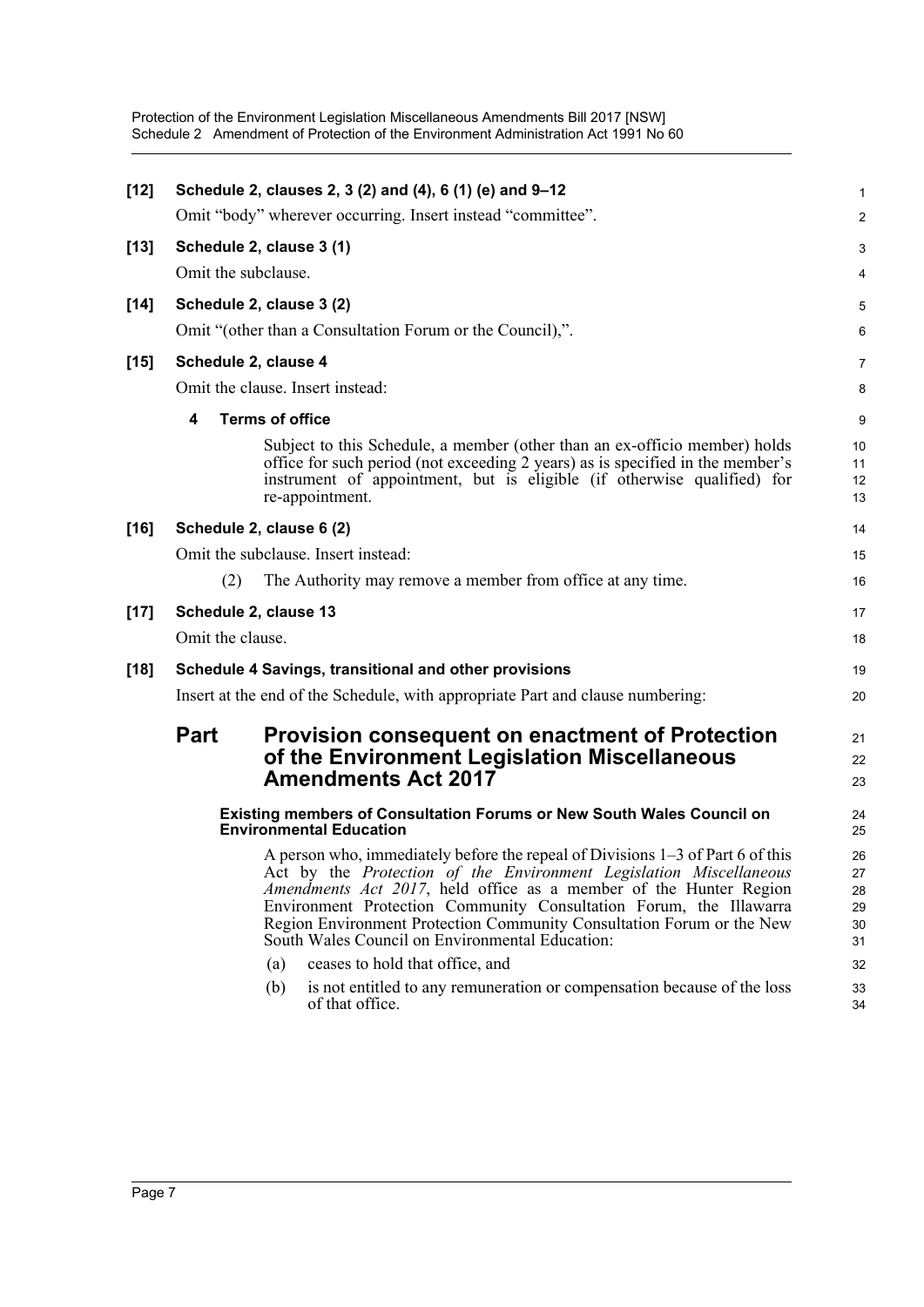| $[12]$ |                                                 |                        | Schedule 2, clauses 2, 3 (2) and (4), 6 (1) (e) and 9-12<br>Omit "body" wherever occurring. Insert instead "committee".                                                                                                                                                                                                                                                                                                     | 1<br>$\overline{2}$                  |
|--------|-------------------------------------------------|------------------------|-----------------------------------------------------------------------------------------------------------------------------------------------------------------------------------------------------------------------------------------------------------------------------------------------------------------------------------------------------------------------------------------------------------------------------|--------------------------------------|
|        |                                                 |                        |                                                                                                                                                                                                                                                                                                                                                                                                                             |                                      |
| $[13]$ | Schedule 2, clause 3 (1)<br>Omit the subclause. |                        |                                                                                                                                                                                                                                                                                                                                                                                                                             | $\ensuremath{\mathsf{3}}$            |
|        |                                                 |                        |                                                                                                                                                                                                                                                                                                                                                                                                                             | 4                                    |
| $[14]$ | Schedule 2, clause 3 (2)                        |                        |                                                                                                                                                                                                                                                                                                                                                                                                                             | 5                                    |
|        |                                                 |                        | Omit "(other than a Consultation Forum or the Council),".                                                                                                                                                                                                                                                                                                                                                                   | 6                                    |
| $[15]$ | Schedule 2, clause 4                            |                        |                                                                                                                                                                                                                                                                                                                                                                                                                             | $\overline{7}$                       |
|        |                                                 |                        | Omit the clause. Insert instead:                                                                                                                                                                                                                                                                                                                                                                                            | 8                                    |
|        | 4                                               | <b>Terms of office</b> |                                                                                                                                                                                                                                                                                                                                                                                                                             | 9                                    |
|        |                                                 |                        | Subject to this Schedule, a member (other than an ex-officio member) holds<br>office for such period (not exceeding 2 years) as is specified in the member's<br>instrument of appointment, but is eligible (if otherwise qualified) for<br>re-appointment.                                                                                                                                                                  | 10<br>11<br>12<br>13                 |
| $[16]$ | Schedule 2, clause 6 (2)                        |                        |                                                                                                                                                                                                                                                                                                                                                                                                                             | 14                                   |
|        |                                                 |                        | Omit the subclause. Insert instead:                                                                                                                                                                                                                                                                                                                                                                                         | 15                                   |
|        | (2)                                             |                        | The Authority may remove a member from office at any time.                                                                                                                                                                                                                                                                                                                                                                  | 16                                   |
| $[17]$ | Schedule 2, clause 13                           |                        |                                                                                                                                                                                                                                                                                                                                                                                                                             | 17                                   |
|        | Omit the clause.                                |                        |                                                                                                                                                                                                                                                                                                                                                                                                                             | 18                                   |
| $[18]$ |                                                 |                        | Schedule 4 Savings, transitional and other provisions                                                                                                                                                                                                                                                                                                                                                                       | 19                                   |
|        |                                                 |                        | Insert at the end of the Schedule, with appropriate Part and clause numbering:                                                                                                                                                                                                                                                                                                                                              | 20                                   |
|        | <b>Part</b>                                     |                        | <b>Provision consequent on enactment of Protection</b><br>of the Environment Legislation Miscellaneous<br><b>Amendments Act 2017</b>                                                                                                                                                                                                                                                                                        | 21<br>22<br>23                       |
|        |                                                 |                        | Existing members of Consultation Forums or New South Wales Council on<br><b>Environmental Education</b>                                                                                                                                                                                                                                                                                                                     | 24<br>25                             |
|        |                                                 |                        | A person who, immediately before the repeal of Divisions 1–3 of Part 6 of this<br>Act by the Protection of the Environment Legislation Miscellaneous<br>Amendments Act 2017, held office as a member of the Hunter Region<br>Environment Protection Community Consultation Forum, the Illawarra<br>Region Environment Protection Community Consultation Forum or the New<br>South Wales Council on Environmental Education: | 26<br>$27\,$<br>28<br>29<br>30<br>31 |
|        |                                                 | (a)                    | ceases to hold that office, and                                                                                                                                                                                                                                                                                                                                                                                             | 32                                   |
|        |                                                 | (b)                    | is not entitled to any remuneration or compensation because of the loss<br>of that office.                                                                                                                                                                                                                                                                                                                                  | 33<br>34                             |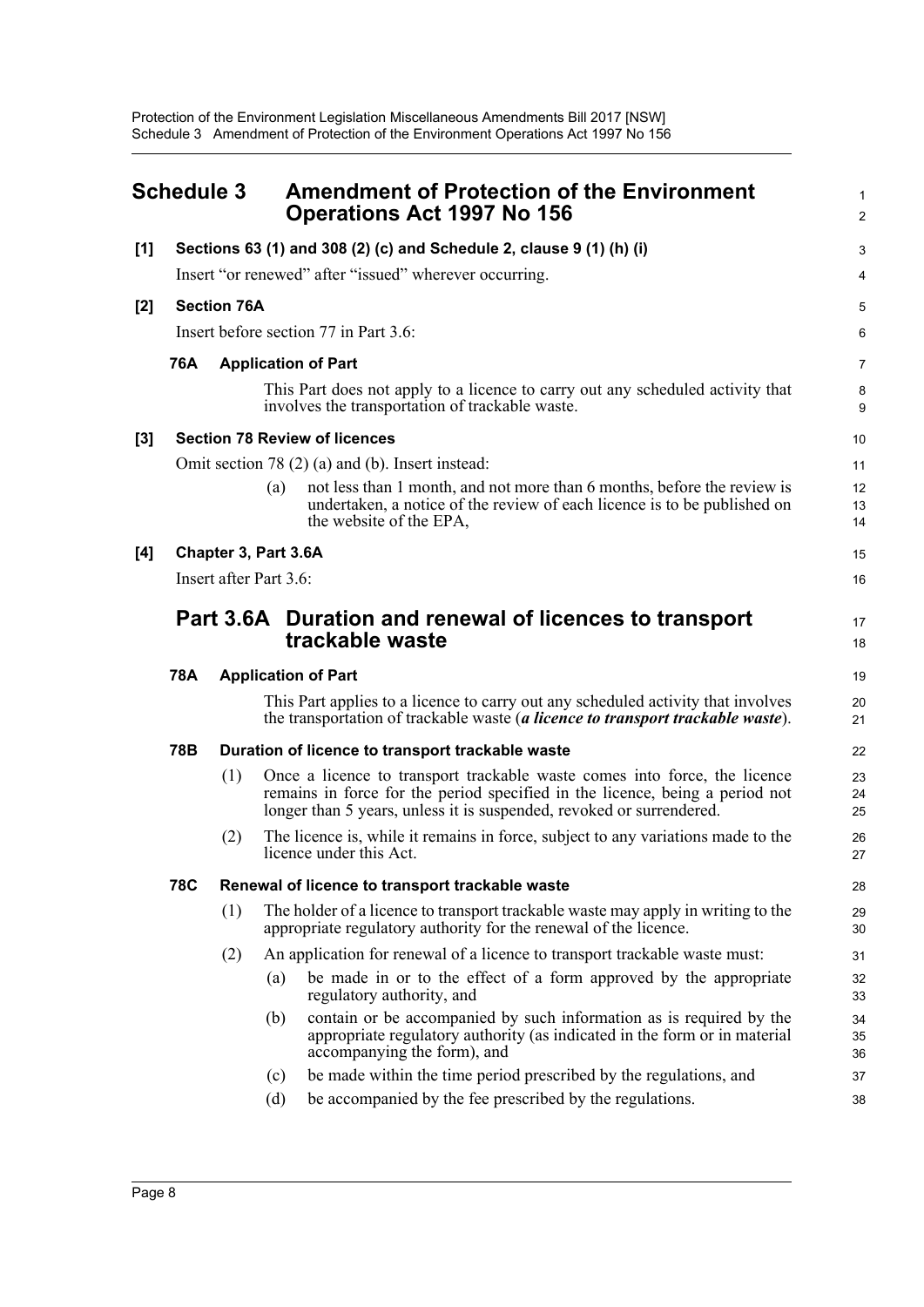<span id="page-13-0"></span>

|       | <b>Schedule 3</b> |                    | <b>Amendment of Protection of the Environment</b><br><b>Operations Act 1997 No 156</b>                                                                                                                                            | $\mathbf{1}$<br>2 |
|-------|-------------------|--------------------|-----------------------------------------------------------------------------------------------------------------------------------------------------------------------------------------------------------------------------------|-------------------|
| [1]   |                   |                    | Sections 63 (1) and 308 (2) (c) and Schedule 2, clause 9 (1) (h) (i)                                                                                                                                                              | 3                 |
|       |                   |                    | Insert "or renewed" after "issued" wherever occurring.                                                                                                                                                                            | 4                 |
| $[2]$ |                   | <b>Section 76A</b> |                                                                                                                                                                                                                                   | 5                 |
|       |                   |                    | Insert before section 77 in Part 3.6:                                                                                                                                                                                             | 6                 |
|       | 76A               |                    | <b>Application of Part</b>                                                                                                                                                                                                        | $\overline{7}$    |
|       |                   |                    | This Part does not apply to a licence to carry out any scheduled activity that<br>involves the transportation of trackable waste.                                                                                                 | 8<br>9            |
| [3]   |                   |                    | <b>Section 78 Review of licences</b>                                                                                                                                                                                              | 10                |
|       |                   |                    | Omit section 78 (2) (a) and (b). Insert instead:                                                                                                                                                                                  | 11                |
|       |                   |                    | not less than 1 month, and not more than 6 months, before the review is<br>(a)<br>undertaken, a notice of the review of each licence is to be published on<br>the website of the EPA,                                             | 12<br>13<br>14    |
| [4]   |                   |                    | Chapter 3, Part 3.6A                                                                                                                                                                                                              | 15                |
|       |                   |                    | Insert after Part 3.6:                                                                                                                                                                                                            | 16                |
|       |                   |                    | Part 3.6A Duration and renewal of licences to transport<br>trackable waste                                                                                                                                                        | 17<br>18          |
|       | <b>78A</b>        |                    | <b>Application of Part</b>                                                                                                                                                                                                        | 19                |
|       |                   |                    | This Part applies to a licence to carry out any scheduled activity that involves<br>the transportation of trackable waste (a licence to transport trackable waste).                                                               | 20<br>21          |
|       | 78B               |                    | Duration of licence to transport trackable waste                                                                                                                                                                                  | 22                |
|       |                   | (1)                | Once a licence to transport trackable waste comes into force, the licence<br>remains in force for the period specified in the licence, being a period not<br>longer than 5 years, unless it is suspended, revoked or surrendered. | 23<br>24<br>25    |
|       |                   | (2)                | The licence is, while it remains in force, subject to any variations made to the<br>licence under this Act.                                                                                                                       | 26<br>27          |
|       | <b>78C</b>        |                    | Renewal of licence to transport trackable waste                                                                                                                                                                                   | 28                |
|       |                   | (1)                | The holder of a licence to transport trackable waste may apply in writing to the<br>appropriate regulatory authority for the renewal of the licence.                                                                              | 29<br>30          |
|       |                   | (2)                | An application for renewal of a licence to transport trackable waste must:                                                                                                                                                        | 31                |
|       |                   |                    | be made in or to the effect of a form approved by the appropriate<br>(a)<br>regulatory authority, and                                                                                                                             | 32<br>33          |
|       |                   |                    | contain or be accompanied by such information as is required by the<br>(b)<br>appropriate regulatory authority (as indicated in the form or in material<br>accompanying the form), and                                            | 34<br>35<br>36    |
|       |                   |                    | be made within the time period prescribed by the regulations, and<br>(c)                                                                                                                                                          | 37                |
|       |                   |                    | be accompanied by the fee prescribed by the regulations.<br>(d)                                                                                                                                                                   | 38                |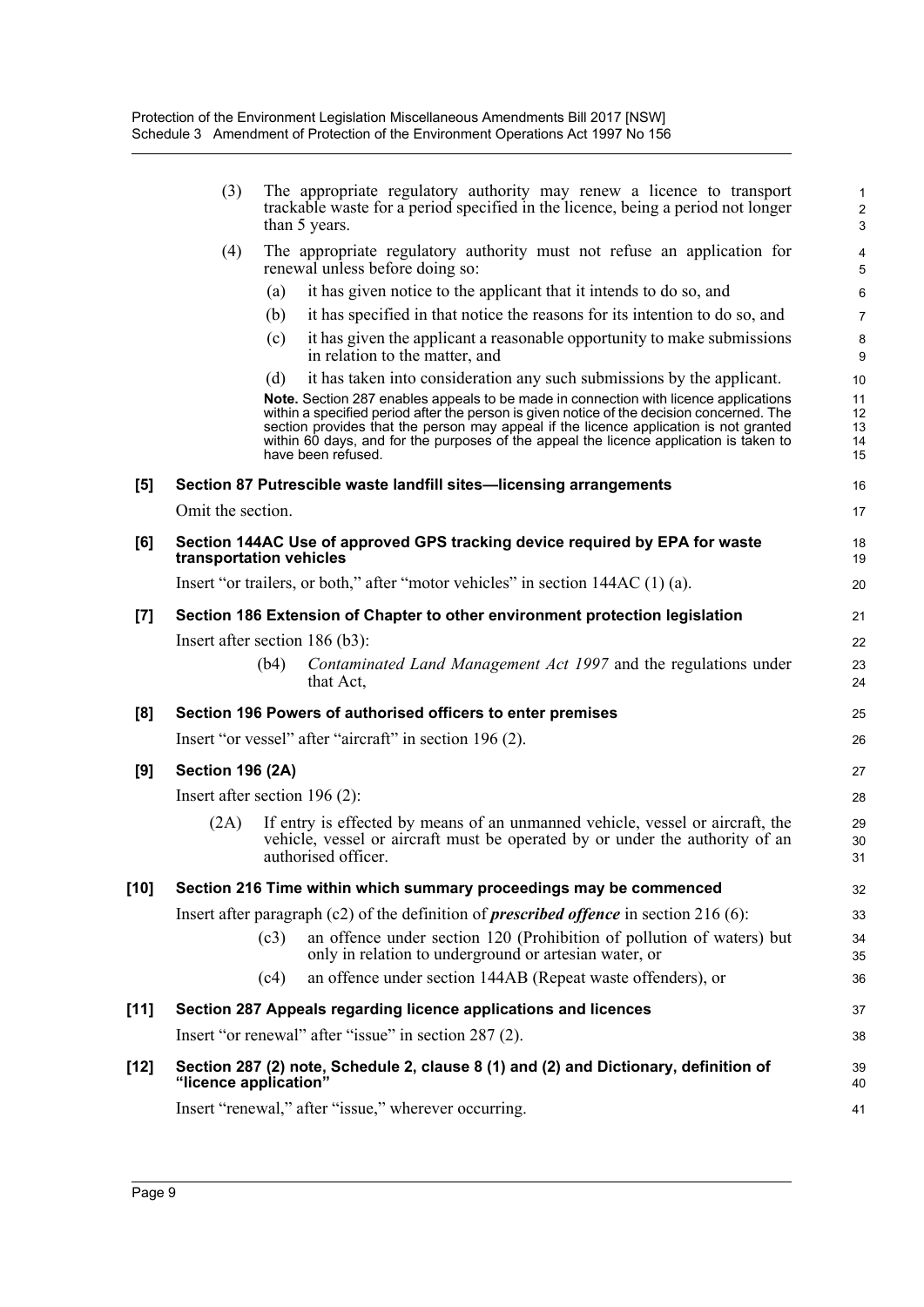| (3)                   | The appropriate regulatory authority may renew a licence to transport                                                                                                                                                                                                                              | 1                                                                                                                                                                                                                                                                                                                                                                                                                                                                                                                                                                                                                                                                                        |
|-----------------------|----------------------------------------------------------------------------------------------------------------------------------------------------------------------------------------------------------------------------------------------------------------------------------------------------|------------------------------------------------------------------------------------------------------------------------------------------------------------------------------------------------------------------------------------------------------------------------------------------------------------------------------------------------------------------------------------------------------------------------------------------------------------------------------------------------------------------------------------------------------------------------------------------------------------------------------------------------------------------------------------------|
|                       | trackable waste for a period specified in the licence, being a period not longer<br>than 5 years.                                                                                                                                                                                                  | $\overline{c}$<br>$\mathsf 3$                                                                                                                                                                                                                                                                                                                                                                                                                                                                                                                                                                                                                                                            |
| (4)                   | The appropriate regulatory authority must not refuse an application for<br>renewal unless before doing so:                                                                                                                                                                                         | 4<br>5                                                                                                                                                                                                                                                                                                                                                                                                                                                                                                                                                                                                                                                                                   |
|                       | it has given notice to the applicant that it intends to do so, and<br>(a)                                                                                                                                                                                                                          | 6                                                                                                                                                                                                                                                                                                                                                                                                                                                                                                                                                                                                                                                                                        |
|                       | it has specified in that notice the reasons for its intention to do so, and<br>(b)                                                                                                                                                                                                                 | 7                                                                                                                                                                                                                                                                                                                                                                                                                                                                                                                                                                                                                                                                                        |
|                       | it has given the applicant a reasonable opportunity to make submissions<br>(c)<br>in relation to the matter, and                                                                                                                                                                                   | 8<br>9                                                                                                                                                                                                                                                                                                                                                                                                                                                                                                                                                                                                                                                                                   |
|                       | it has taken into consideration any such submissions by the applicant.<br>(d)                                                                                                                                                                                                                      | 10                                                                                                                                                                                                                                                                                                                                                                                                                                                                                                                                                                                                                                                                                       |
|                       | within a specified period after the person is given notice of the decision concerned. The<br>section provides that the person may appeal if the licence application is not granted<br>within 60 days, and for the purposes of the appeal the licence application is taken to<br>have been refused. | 11<br>12<br>13<br>14<br>15                                                                                                                                                                                                                                                                                                                                                                                                                                                                                                                                                                                                                                                               |
|                       |                                                                                                                                                                                                                                                                                                    | 16                                                                                                                                                                                                                                                                                                                                                                                                                                                                                                                                                                                                                                                                                       |
|                       |                                                                                                                                                                                                                                                                                                    | 17                                                                                                                                                                                                                                                                                                                                                                                                                                                                                                                                                                                                                                                                                       |
|                       |                                                                                                                                                                                                                                                                                                    | 18<br>19                                                                                                                                                                                                                                                                                                                                                                                                                                                                                                                                                                                                                                                                                 |
|                       |                                                                                                                                                                                                                                                                                                    | 20                                                                                                                                                                                                                                                                                                                                                                                                                                                                                                                                                                                                                                                                                       |
|                       |                                                                                                                                                                                                                                                                                                    | 21                                                                                                                                                                                                                                                                                                                                                                                                                                                                                                                                                                                                                                                                                       |
|                       |                                                                                                                                                                                                                                                                                                    | 22                                                                                                                                                                                                                                                                                                                                                                                                                                                                                                                                                                                                                                                                                       |
|                       | Contaminated Land Management Act 1997 and the regulations under<br>(b4)<br>that Act,                                                                                                                                                                                                               | 23<br>24                                                                                                                                                                                                                                                                                                                                                                                                                                                                                                                                                                                                                                                                                 |
|                       |                                                                                                                                                                                                                                                                                                    | 25                                                                                                                                                                                                                                                                                                                                                                                                                                                                                                                                                                                                                                                                                       |
|                       |                                                                                                                                                                                                                                                                                                    | 26                                                                                                                                                                                                                                                                                                                                                                                                                                                                                                                                                                                                                                                                                       |
|                       |                                                                                                                                                                                                                                                                                                    | 27                                                                                                                                                                                                                                                                                                                                                                                                                                                                                                                                                                                                                                                                                       |
|                       |                                                                                                                                                                                                                                                                                                    | 28                                                                                                                                                                                                                                                                                                                                                                                                                                                                                                                                                                                                                                                                                       |
| (2A)                  | If entry is effected by means of an unmanned vehicle, vessel or aircraft, the<br>vehicle, vessel or aircraft must be operated by or under the authority of an<br>authorised officer.                                                                                                               | 29<br>30<br>31                                                                                                                                                                                                                                                                                                                                                                                                                                                                                                                                                                                                                                                                           |
|                       | Section 216 Time within which summary proceedings may be commenced                                                                                                                                                                                                                                 | 32                                                                                                                                                                                                                                                                                                                                                                                                                                                                                                                                                                                                                                                                                       |
|                       | Insert after paragraph (c2) of the definition of <i>prescribed offence</i> in section 216 (6):                                                                                                                                                                                                     | 33                                                                                                                                                                                                                                                                                                                                                                                                                                                                                                                                                                                                                                                                                       |
|                       | an offence under section 120 (Prohibition of pollution of waters) but<br>(c3)<br>only in relation to underground or artesian water, or                                                                                                                                                             | 34                                                                                                                                                                                                                                                                                                                                                                                                                                                                                                                                                                                                                                                                                       |
|                       |                                                                                                                                                                                                                                                                                                    | 35                                                                                                                                                                                                                                                                                                                                                                                                                                                                                                                                                                                                                                                                                       |
|                       | an offence under section 144AB (Repeat waste offenders), or<br>(c4)                                                                                                                                                                                                                                | 36                                                                                                                                                                                                                                                                                                                                                                                                                                                                                                                                                                                                                                                                                       |
|                       | Section 287 Appeals regarding licence applications and licences                                                                                                                                                                                                                                    | 37                                                                                                                                                                                                                                                                                                                                                                                                                                                                                                                                                                                                                                                                                       |
|                       | Insert "or renewal" after "issue" in section 287 (2).                                                                                                                                                                                                                                              | 38                                                                                                                                                                                                                                                                                                                                                                                                                                                                                                                                                                                                                                                                                       |
| "licence application" | Section 287 (2) note, Schedule 2, clause 8 (1) and (2) and Dictionary, definition of                                                                                                                                                                                                               | 39<br>40                                                                                                                                                                                                                                                                                                                                                                                                                                                                                                                                                                                                                                                                                 |
|                       |                                                                                                                                                                                                                                                                                                    | Note. Section 287 enables appeals to be made in connection with licence applications<br>Section 87 Putrescible waste landfill sites-licensing arrangements<br>Omit the section.<br>Section 144AC Use of approved GPS tracking device required by EPA for waste<br>transportation vehicles<br>Insert "or trailers, or both," after "motor vehicles" in section 144AC (1) (a).<br>Section 186 Extension of Chapter to other environment protection legislation<br>Insert after section $186$ (b3):<br>Section 196 Powers of authorised officers to enter premises<br>Insert "or vessel" after "aircraft" in section 196 (2).<br><b>Section 196 (2A)</b><br>Insert after section $196(2)$ : |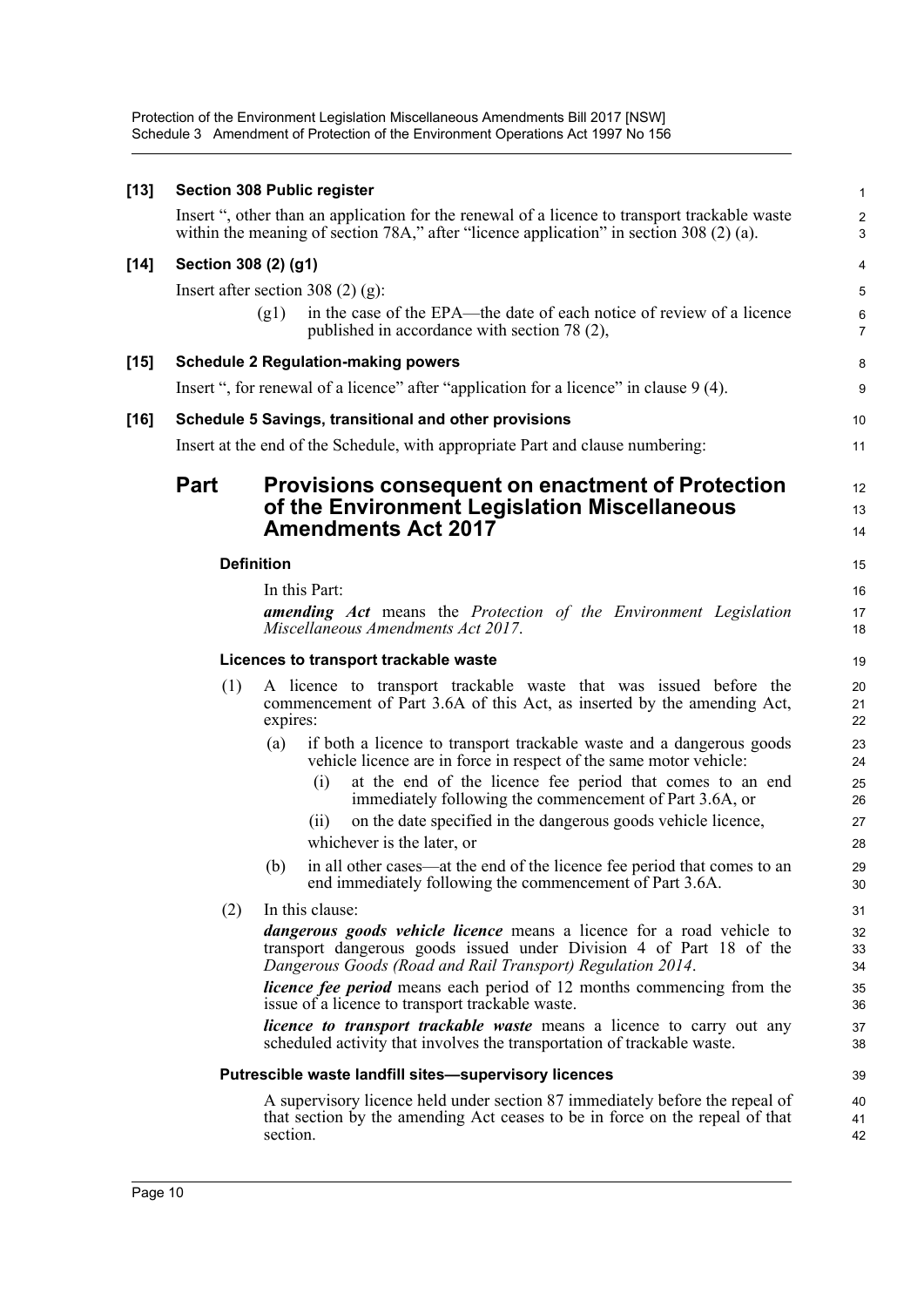Protection of the Environment Legislation Miscellaneous Amendments Bill 2017 [NSW] Schedule 3 Amendment of Protection of the Environment Operations Act 1997 No 156

| $[13]$ |             | <b>Section 308 Public register</b>                                                                                                                                                                                | $\mathbf{1}$              |  |
|--------|-------------|-------------------------------------------------------------------------------------------------------------------------------------------------------------------------------------------------------------------|---------------------------|--|
|        |             | Insert ", other than an application for the renewal of a licence to transport trackable waste<br>within the meaning of section 78A," after "licence application" in section 308 (2) (a).                          | $\sqrt{2}$<br>3           |  |
| $[14]$ |             | Section 308 (2) (g1)                                                                                                                                                                                              | 4                         |  |
|        |             | Insert after section 308 $(2)$ (g):                                                                                                                                                                               | 5                         |  |
|        |             | in the case of the EPA—the date of each notice of review of a licence<br>(g1)<br>published in accordance with section 78 (2),                                                                                     | $\,6\,$<br>$\overline{7}$ |  |
| $[15]$ |             | <b>Schedule 2 Regulation-making powers</b>                                                                                                                                                                        | 8                         |  |
|        |             | Insert ", for renewal of a licence" after "application for a licence" in clause 9 (4).                                                                                                                            | 9                         |  |
| $[16]$ |             | Schedule 5 Savings, transitional and other provisions                                                                                                                                                             | 10                        |  |
|        |             | Insert at the end of the Schedule, with appropriate Part and clause numbering:                                                                                                                                    | 11                        |  |
|        | <b>Part</b> | <b>Provisions consequent on enactment of Protection</b><br>of the Environment Legislation Miscellaneous<br><b>Amendments Act 2017</b>                                                                             | 12<br>13<br>14            |  |
|        |             | <b>Definition</b>                                                                                                                                                                                                 |                           |  |
|        |             | In this Part:                                                                                                                                                                                                     | 16                        |  |
|        |             | <b>amending</b> Act means the Protection of the Environment Legislation<br>Miscellaneous Amendments Act 2017.                                                                                                     | 17<br>18                  |  |
|        |             | Licences to transport trackable waste                                                                                                                                                                             | 19                        |  |
|        | (1)         | A licence to transport trackable waste that was issued before the<br>commencement of Part 3.6A of this Act, as inserted by the amending Act,<br>expires:                                                          | 20<br>21<br>22            |  |
|        |             | if both a licence to transport trackable waste and a dangerous goods<br>(a)<br>vehicle licence are in force in respect of the same motor vehicle:                                                                 | 23<br>24                  |  |
|        |             | at the end of the licence fee period that comes to an end<br>(i)<br>immediately following the commencement of Part 3.6A, or                                                                                       | 25<br>26                  |  |
|        |             | on the date specified in the dangerous goods vehicle licence,<br>(i)                                                                                                                                              | 27                        |  |
|        |             | whichever is the later, or                                                                                                                                                                                        | 28                        |  |
|        |             | in all other cases—at the end of the licence fee period that comes to an<br>(b)<br>end immediately following the commencement of Part 3.6A.                                                                       | 29<br>30                  |  |
|        | (2)         | In this clause:                                                                                                                                                                                                   | 31                        |  |
|        |             | <i>dangerous goods vehicle licence</i> means a licence for a road vehicle to<br>transport dangerous goods issued under Division 4 of Part 18 of the<br>Dangerous Goods (Road and Rail Transport) Regulation 2014. | 32<br>33<br>34            |  |
|        |             | <i>licence fee period</i> means each period of 12 months commencing from the<br>issue of a licence to transport trackable waste.                                                                                  | 35<br>36                  |  |
|        |             | <i>licence to transport trackable waste</i> means a licence to carry out any<br>scheduled activity that involves the transportation of trackable waste.                                                           | 37<br>38                  |  |
|        |             | Putrescible waste landfill sites-supervisory licences                                                                                                                                                             | 39                        |  |
|        |             | A supervisory licence held under section 87 immediately before the repeal of<br>that section by the amending Act ceases to be in force on the repeal of that<br>section.                                          | 40<br>41<br>42            |  |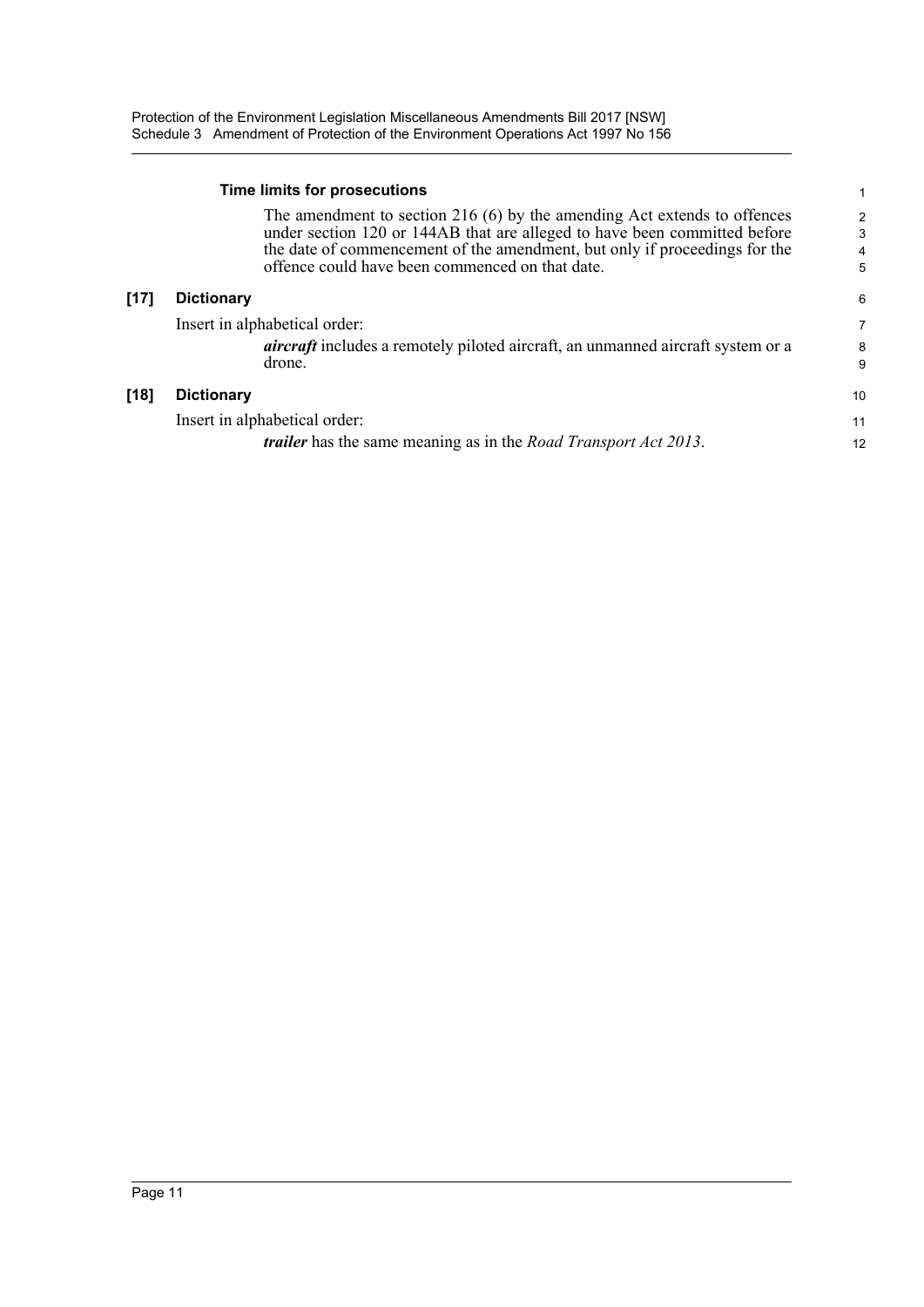#### **Time limits for prosecutions**

The amendment to section 216 (6) by the amending Act extends to offences under section 120 or 144AB that are alleged to have been committed before the date of commencement of the amendment, but only if proceedings for the offence could have been commenced on that date.

6

### **[17] Dictionary**

 $[18]$ 

| Insert in alphabetical order:                                                                    |        |
|--------------------------------------------------------------------------------------------------|--------|
| <i>aircraft</i> includes a remotely piloted aircraft, an unmanned aircraft system or a<br>drone. | 8<br>9 |
| <b>Dictionary</b>                                                                                | 10     |
| Insert in alphabetical order:                                                                    | 11     |
| <i>trailer</i> has the same meaning as in the <i>Road Transport Act 2013</i> .                   | 12     |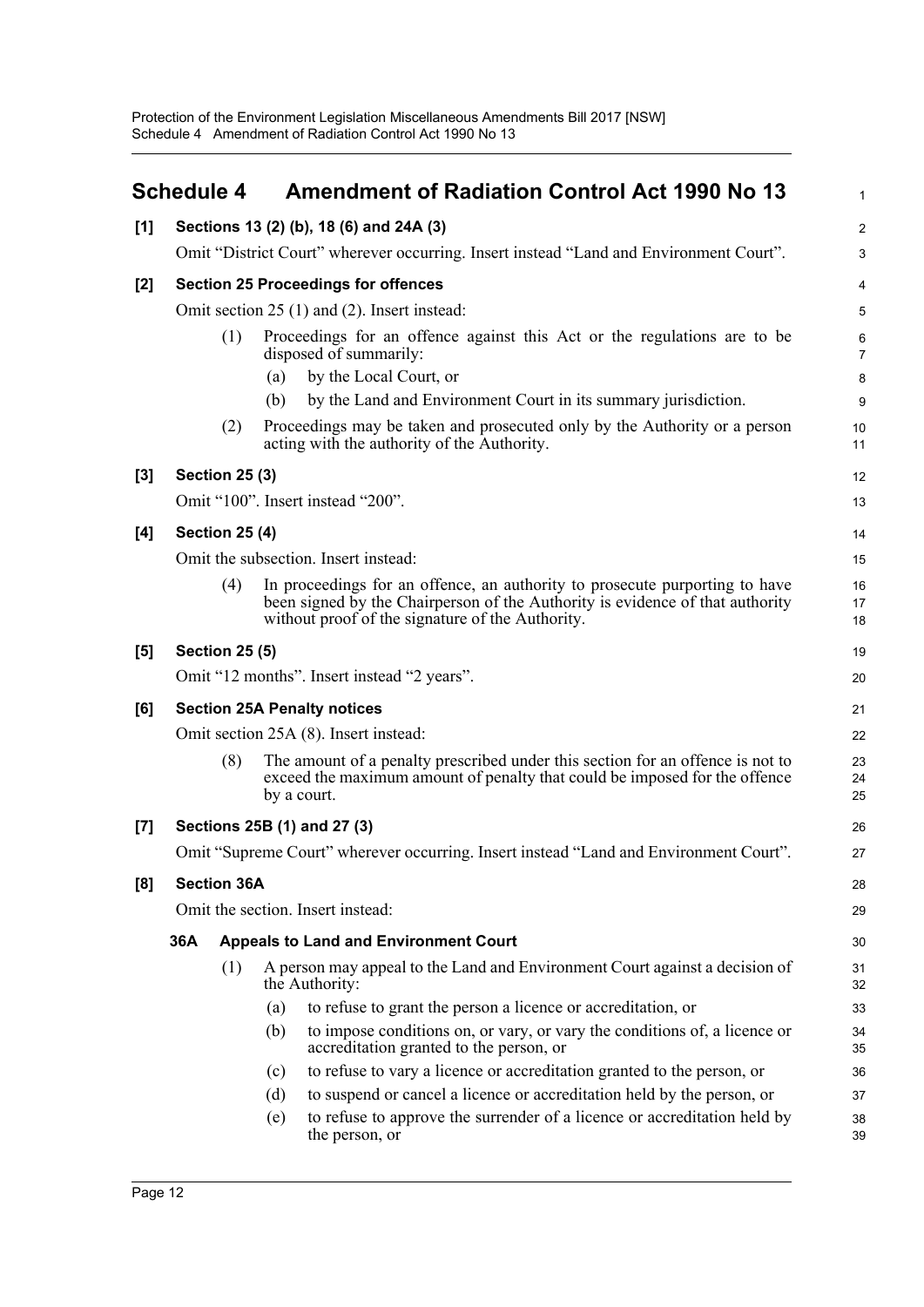<span id="page-17-0"></span>

|       | <b>Schedule 4</b> |                                            |     | <b>Amendment of Radiation Control Act 1990 No 13</b>                                                                                                                                                             | $\mathbf{1}$        |  |  |  |
|-------|-------------------|--------------------------------------------|-----|------------------------------------------------------------------------------------------------------------------------------------------------------------------------------------------------------------------|---------------------|--|--|--|
| [1]   |                   |                                            |     | Sections 13 (2) (b), 18 (6) and 24A (3)                                                                                                                                                                          | $\overline{2}$      |  |  |  |
|       |                   |                                            |     | Omit "District Court" wherever occurring. Insert instead "Land and Environment Court".                                                                                                                           | 3                   |  |  |  |
| [2]   |                   | <b>Section 25 Proceedings for offences</b> |     |                                                                                                                                                                                                                  |                     |  |  |  |
|       |                   |                                            |     | Omit section $25(1)$ and $(2)$ . Insert instead:                                                                                                                                                                 | 5                   |  |  |  |
|       |                   | (1)                                        |     | Proceedings for an offence against this Act or the regulations are to be<br>disposed of summarily:                                                                                                               | 6<br>$\overline{7}$ |  |  |  |
|       |                   |                                            | (a) | by the Local Court, or                                                                                                                                                                                           | 8                   |  |  |  |
|       |                   |                                            | (b) | by the Land and Environment Court in its summary jurisdiction.                                                                                                                                                   | 9                   |  |  |  |
|       |                   | (2)                                        |     | Proceedings may be taken and prosecuted only by the Authority or a person<br>acting with the authority of the Authority.                                                                                         | 10<br>11            |  |  |  |
| $[3]$ |                   | <b>Section 25 (3)</b>                      |     |                                                                                                                                                                                                                  | 12                  |  |  |  |
|       |                   |                                            |     | Omit "100". Insert instead "200".                                                                                                                                                                                | 13                  |  |  |  |
| [4]   |                   | <b>Section 25 (4)</b>                      |     |                                                                                                                                                                                                                  | 14                  |  |  |  |
|       |                   |                                            |     | Omit the subsection. Insert instead:                                                                                                                                                                             | 15                  |  |  |  |
|       |                   | (4)                                        |     | In proceedings for an offence, an authority to prosecute purporting to have<br>been signed by the Chairperson of the Authority is evidence of that authority<br>without proof of the signature of the Authority. | 16<br>17<br>18      |  |  |  |
| [5]   |                   | <b>Section 25 (5)</b>                      |     |                                                                                                                                                                                                                  | 19                  |  |  |  |
|       |                   |                                            |     | Omit "12 months". Insert instead "2 years".                                                                                                                                                                      | 20                  |  |  |  |
| [6]   |                   |                                            |     | <b>Section 25A Penalty notices</b>                                                                                                                                                                               | 21                  |  |  |  |
|       |                   |                                            |     | Omit section 25A (8). Insert instead:                                                                                                                                                                            | 22                  |  |  |  |
|       |                   | (8)                                        |     | The amount of a penalty prescribed under this section for an offence is not to<br>exceed the maximum amount of penalty that could be imposed for the offence<br>by a court.                                      | 23<br>24<br>25      |  |  |  |
| $[7]$ |                   |                                            |     | Sections 25B (1) and 27 (3)                                                                                                                                                                                      | 26                  |  |  |  |
|       |                   |                                            |     | Omit "Supreme Court" wherever occurring. Insert instead "Land and Environment Court".                                                                                                                            | 27                  |  |  |  |
| [8]   |                   | <b>Section 36A</b>                         |     |                                                                                                                                                                                                                  | 28                  |  |  |  |
|       |                   |                                            |     | Omit the section. Insert instead:                                                                                                                                                                                | 29                  |  |  |  |
|       | 36A               |                                            |     | <b>Appeals to Land and Environment Court</b>                                                                                                                                                                     | 30                  |  |  |  |
|       |                   | (1)                                        |     | A person may appeal to the Land and Environment Court against a decision of<br>the Authority:                                                                                                                    | 31<br>32            |  |  |  |
|       |                   |                                            | (a) | to refuse to grant the person a licence or accreditation, or                                                                                                                                                     | 33                  |  |  |  |
|       |                   |                                            | (b) | to impose conditions on, or vary, or vary the conditions of, a licence or<br>accreditation granted to the person, or                                                                                             | 34<br>35            |  |  |  |
|       |                   |                                            | (c) | to refuse to vary a licence or accreditation granted to the person, or                                                                                                                                           | 36                  |  |  |  |
|       |                   |                                            | (d) | to suspend or cancel a licence or accreditation held by the person, or                                                                                                                                           | 37                  |  |  |  |
|       |                   |                                            | (e) | to refuse to approve the surrender of a licence or accreditation held by<br>the person, or                                                                                                                       | 38<br>39            |  |  |  |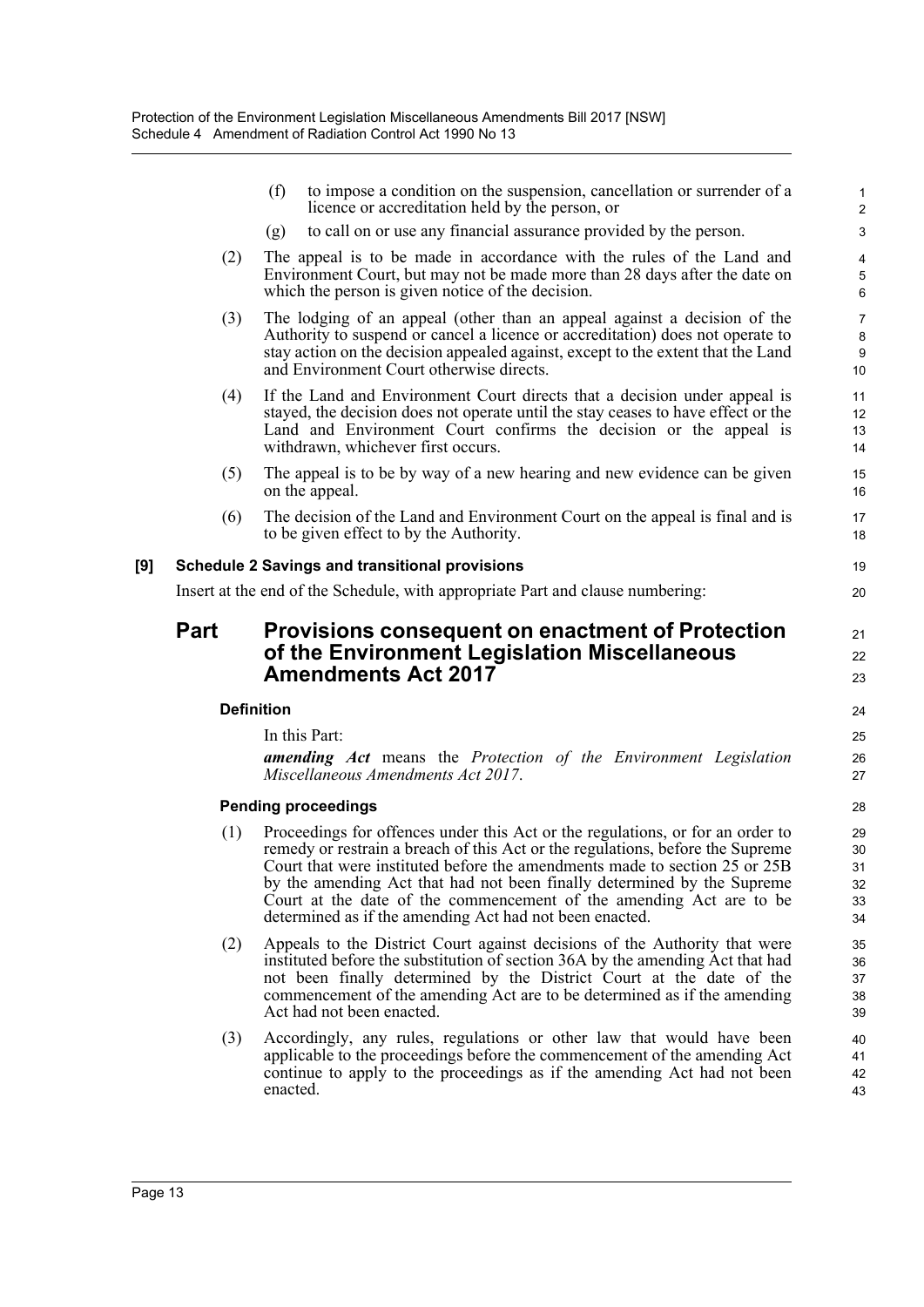|     |                   | (f)<br>to impose a condition on the suspension, cancellation or surrender of a<br>licence or accreditation held by the person, or                                                                                                                                                                                                                                                                                                                           | $\mathbf{1}$<br>2                |
|-----|-------------------|-------------------------------------------------------------------------------------------------------------------------------------------------------------------------------------------------------------------------------------------------------------------------------------------------------------------------------------------------------------------------------------------------------------------------------------------------------------|----------------------------------|
|     |                   | to call on or use any financial assurance provided by the person.<br>(g)                                                                                                                                                                                                                                                                                                                                                                                    | 3                                |
|     | (2)               | The appeal is to be made in accordance with the rules of the Land and<br>Environment Court, but may not be made more than 28 days after the date on<br>which the person is given notice of the decision.                                                                                                                                                                                                                                                    | $\overline{4}$<br>5<br>6         |
|     | (3)               | The lodging of an appeal (other than an appeal against a decision of the<br>Authority to suspend or cancel a licence or accreditation) does not operate to<br>stay action on the decision appealed against, except to the extent that the Land<br>and Environment Court otherwise directs.                                                                                                                                                                  | $\overline{7}$<br>8<br>9<br>10   |
|     | (4)               | If the Land and Environment Court directs that a decision under appeal is<br>stayed, the decision does not operate until the stay ceases to have effect or the<br>Land and Environment Court confirms the decision or the appeal is<br>withdrawn, whichever first occurs.                                                                                                                                                                                   | 11<br>12<br>13<br>14             |
|     | (5)               | The appeal is to be by way of a new hearing and new evidence can be given<br>on the appeal.                                                                                                                                                                                                                                                                                                                                                                 | 15<br>16                         |
|     | (6)               | The decision of the Land and Environment Court on the appeal is final and is<br>to be given effect to by the Authority.                                                                                                                                                                                                                                                                                                                                     | 17<br>18                         |
| [9] |                   | <b>Schedule 2 Savings and transitional provisions</b>                                                                                                                                                                                                                                                                                                                                                                                                       | 19                               |
|     |                   | Insert at the end of the Schedule, with appropriate Part and clause numbering:                                                                                                                                                                                                                                                                                                                                                                              | 20                               |
|     |                   |                                                                                                                                                                                                                                                                                                                                                                                                                                                             |                                  |
|     | <b>Part</b>       | <b>Provisions consequent on enactment of Protection</b><br>of the Environment Legislation Miscellaneous                                                                                                                                                                                                                                                                                                                                                     | 21                               |
|     |                   | <b>Amendments Act 2017</b>                                                                                                                                                                                                                                                                                                                                                                                                                                  | 22<br>23                         |
|     |                   |                                                                                                                                                                                                                                                                                                                                                                                                                                                             |                                  |
|     | <b>Definition</b> |                                                                                                                                                                                                                                                                                                                                                                                                                                                             | 24                               |
|     |                   | In this Part:<br><b>amending</b> Act means the Protection of the Environment Legislation<br>Miscellaneous Amendments Act 2017.                                                                                                                                                                                                                                                                                                                              | 25<br>26<br>27                   |
|     |                   | <b>Pending proceedings</b>                                                                                                                                                                                                                                                                                                                                                                                                                                  | 28                               |
|     | (1)               | Proceedings for offences under this Act or the regulations, or for an order to<br>remedy or restrain a breach of this Act or the regulations, before the Supreme<br>Court that were instituted before the amendments made to section 25 or 25B<br>by the amending Act that had not been finally determined by the Supreme<br>Court at the date of the commencement of the amending Act are to be<br>determined as if the amending Act had not been enacted. | 29<br>30<br>31<br>32<br>33<br>34 |
|     | (2)               | Appeals to the District Court against decisions of the Authority that were<br>instituted before the substitution of section 36A by the amending Act that had<br>not been finally determined by the District Court at the date of the<br>commencement of the amending Act are to be determined as if the amending<br>Act had not been enacted.                                                                                                               | 35<br>36<br>37<br>38<br>39       |
|     | (3)               | Accordingly, any rules, regulations or other law that would have been<br>applicable to the proceedings before the commencement of the amending Act<br>continue to apply to the proceedings as if the amending Act had not been                                                                                                                                                                                                                              | 40<br>41<br>42                   |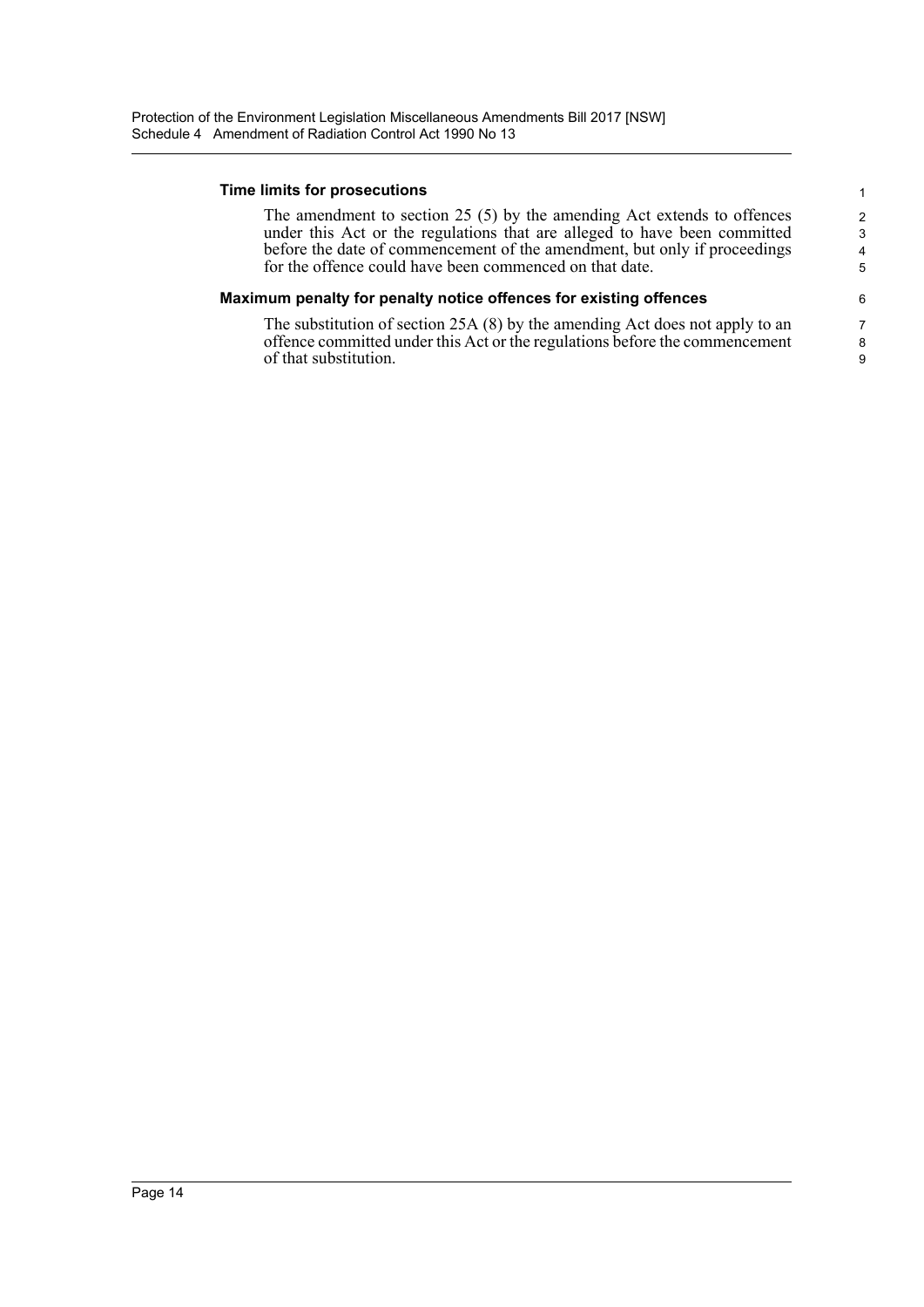#### **Time limits for prosecutions**

The amendment to section 25 (5) by the amending Act extends to offences under this Act or the regulations that are alleged to have been committed before the date of commencement of the amendment, but only if proceedings for the offence could have been commenced on that date.

#### **Maximum penalty for penalty notice offences for existing offences**

The substitution of section 25A (8) by the amending Act does not apply to an offence committed under this Act or the regulations before the commencement of that substitution.

1 2 3